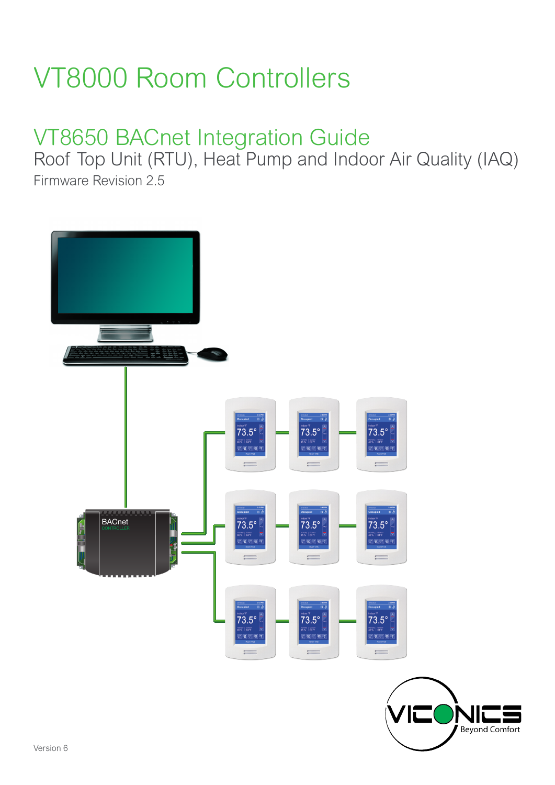# VT8000 Room Controllers

# VT8650 BACnet Integration Guide

Roof Top Unit (RTU), Heat Pump and Indoor Air Quality (IAQ) Firmware Revision 2.5

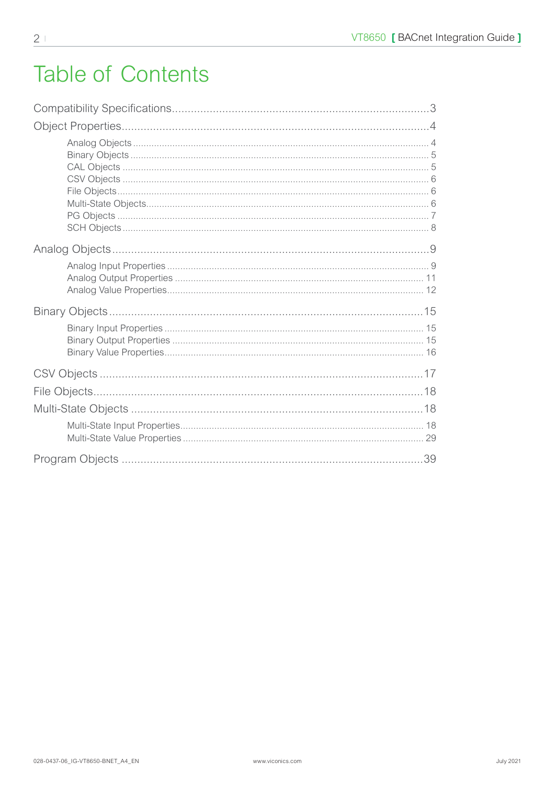# **Table of Contents**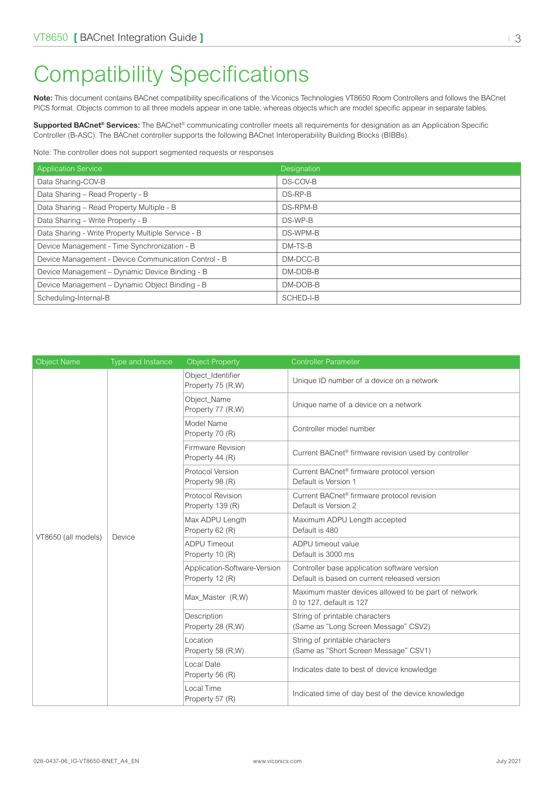# <span id="page-2-0"></span>Compatibility Specifications

**Note:** This document contains BACnet compatibility specifications of the Viconics Technologies VT8650 Room Controllers and follows the BACnet PICS format. Objects common to all three models appear in one table, whereas objects which are model specific appear in separate tables.

**Supported BACnet® Services:** The BACnet® communicating controller meets all requirements for designation as an Application Specific Controller (B-ASC). The BACnet controller supports the following BACnet Interoperability Building Blocks (BIBBs).

Note: The controller does not support segmented requests or responses

| <b>Application Service</b>                           | Designation |
|------------------------------------------------------|-------------|
| Data Sharing-COV-B                                   | DS-COV-B    |
| Data Sharing - Read Property - B                     | DS-RP-B     |
| Data Sharing - Read Property Multiple - B            | DS-RPM-B    |
| Data Sharing - Write Property - B                    | DS-WP-B     |
| Data Sharing - Write Property Multiple Service - B   | DS-WPM-B    |
| Device Management - Time Synchronization - B         | DM-TS-B     |
| Device Management - Device Communication Control - B | DM-DCC-B    |
| Device Management - Dynamic Device Binding - B       | DM-DDB-B    |
| Device Management - Dynamic Object Binding - B       | DM-DOB-B    |
| Scheduling-Internal-B                                | SCHED-I-B   |

| <b>Object Name</b>  | Type and Instance | <b>Object Property</b>                          | <b>Controller Parameter</b>                                                                  |
|---------------------|-------------------|-------------------------------------------------|----------------------------------------------------------------------------------------------|
|                     |                   | Object_Identifier<br>Property 75 (R,W)          | Unique ID number of a device on a network                                                    |
|                     |                   | Object_Name<br>Property 77 (R,W)                | Unique name of a device on a network                                                         |
|                     |                   | Model Name<br>Property 70 (R)                   | Controller model number                                                                      |
|                     |                   | Firmware Revision<br>Property 44 (R)            | Current BACnet <sup>®</sup> firmware revision used by controller                             |
|                     |                   | Protocol Version<br>Property 98 (R)             | Current BACnet <sup>®</sup> firmware protocol version<br>Default is Version 1                |
|                     | Device            | Protocol Revision<br>Property 139 (R)           | Current BACnet® firmware protocol revision<br>Default is Version 2                           |
|                     |                   | Max ADPU Length<br>Property 62 (R)              | Maximum ADPU Length accepted<br>Default is 480                                               |
| VT8650 (all models) |                   | <b>ADPU Timeout</b><br>Property 10 (R)          | ADPU timeout value<br>Default is 3000 ms                                                     |
|                     |                   | Application-Software-Version<br>Property 12 (R) | Controller base application software version<br>Default is based on current released version |
|                     |                   | Max_Master (R,W)                                | Maximum master devices allowed to be part of network.<br>0 to 127, default is 127            |
|                     |                   | Description<br>Property 28 (R,W)                | String of printable characters<br>(Same as "Long Screen Message" CSV2)                       |
|                     |                   | Location<br>Property 58 (R,W)                   | String of printable characters<br>(Same as "Short Screen Message" CSV1)                      |
|                     |                   | Local Date<br>Property 56 (R)                   | Indicates date to best of device knowledge                                                   |
|                     |                   | Local Time<br>Property 57 (R)                   | Indicated time of day best of the device knowledge                                           |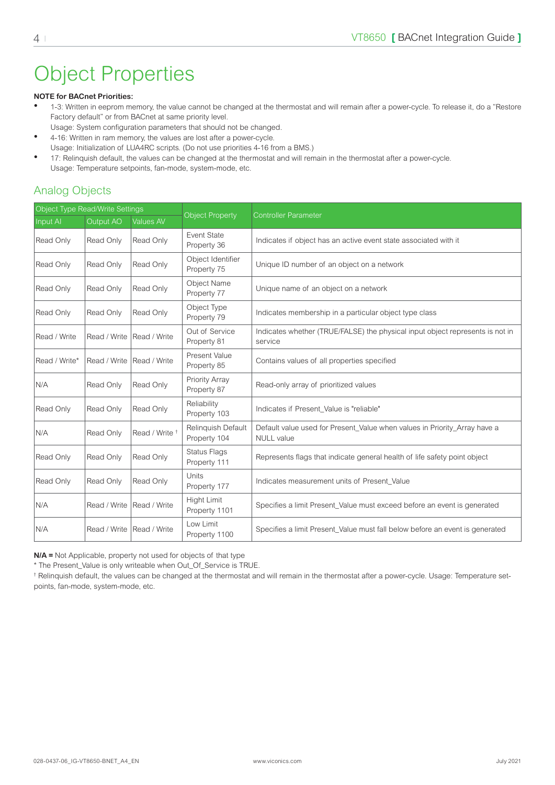# <span id="page-3-0"></span>Object Properties

#### **NOTE for BACnet Priorities:**

- 1-3: Written in eeprom memory, the value cannot be changed at the thermostat and will remain after a power-cycle. To release it, do a "Restore Factory default" or from BACnet at same priority level.
- Usage: System configuration parameters that should not be changed.
- 4-16: Written in ram memory, the values are lost after a power-cycle. Usage: Initialization of LUA4RC scripts. (Do not use priorities 4-16 from a BMS.)
- 17: Relinquish default, the values can be changed at the thermostat and will remain in the thermostat after a power-cycle. Usage: Temperature setpoints, fan-mode, system-mode, etc.

#### Analog Objects

| Object Type Read/Write Settings |                  |                           |                                     |                                                                                                |  |
|---------------------------------|------------------|---------------------------|-------------------------------------|------------------------------------------------------------------------------------------------|--|
| Input AI                        | <b>Output AO</b> | <b>Values AV</b>          | Object Property                     | <b>Controller Parameter</b>                                                                    |  |
| Read Only                       | Read Only        | Read Only                 | Event State<br>Property 36          | Indicates if object has an active event state associated with it                               |  |
| Read Only                       | Read Only        | Read Only                 | Object Identifier<br>Property 75    | Unique ID number of an object on a network                                                     |  |
| Read Only                       | Read Only        | Read Only                 | Object Name<br>Property 77          | Unique name of an object on a network                                                          |  |
| Read Only                       | Read Only        | Read Only                 | Object Type<br>Property 79          | Indicates membership in a particular object type class                                         |  |
| Read / Write                    | Read / Write     | Read / Write              | Out of Service<br>Property 81       | Indicates whether (TRUE/FALSE) the physical input object represents is not in<br>service       |  |
| Read / Write*                   | Read / Write     | Read / Write              | Present Value<br>Property 85        | Contains values of all properties specified                                                    |  |
| N/A                             | Read Only        | Read Only                 | Priority Array<br>Property 87       | Read-only array of prioritized values                                                          |  |
| Read Only                       | Read Only        | Read Only                 | Reliability<br>Property 103         | Indicates if Present Value is "reliable"                                                       |  |
| N/A                             | Read Only        | Read / Write <sup>+</sup> | Relinquish Default<br>Property 104  | Default value used for Present_Value when values in Priority_Array have a<br><b>NULL</b> value |  |
| Read Only                       | Read Only        | Read Only                 | <b>Status Flags</b><br>Property 111 | Represents flags that indicate general health of life safety point object                      |  |
| Read Only                       | Read Only        | Read Only                 | Units<br>Property 177               | Indicates measurement units of Present Value                                                   |  |
| N/A                             | Read / Write     | Read / Write              | <b>Hight Limit</b><br>Property 1101 | Specifies a limit Present_Value must exceed before an event is generated                       |  |
| N/A                             | Read / Write     | Read / Write              | Low Limit<br>Property 1100          | Specifies a limit Present_Value must fall below before an event is generated                   |  |

**N/A =** Not Applicable, property not used for objects of that type

\* The Present\_Value is only writeable when Out\_Of\_Service is TRUE.

† Relinquish default, the values can be changed at the thermostat and will remain in the thermostat after a power-cycle. Usage: Temperature setpoints, fan-mode, system-mode, etc.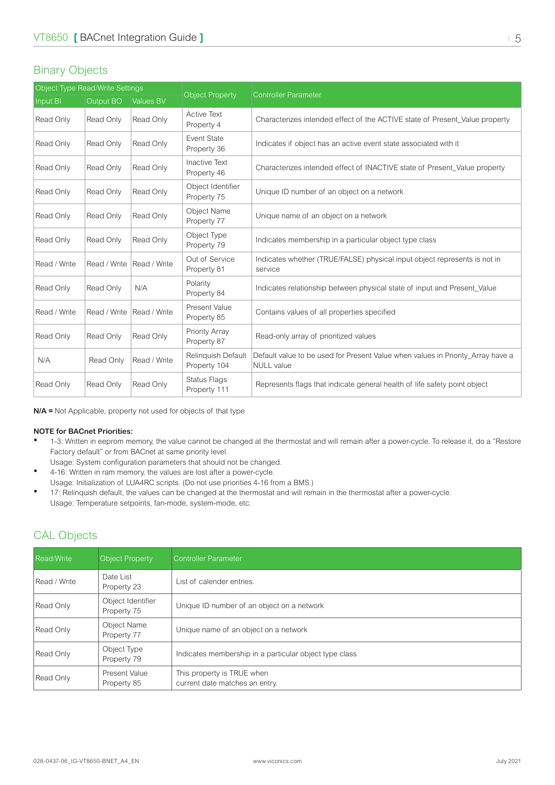#### <span id="page-4-0"></span>Binary Objects

| Object Type Read/Write Settings |              |                  |                                     |                                                                                                      |  |
|---------------------------------|--------------|------------------|-------------------------------------|------------------------------------------------------------------------------------------------------|--|
| Input BI                        | Output BO    | <b>Values BV</b> | <b>Object Property</b>              | <b>Controller Parameter</b>                                                                          |  |
| Read Only                       | Read Only    | Read Only        | <b>Active Text</b><br>Property 4    | Characterizes intended effect of the ACTIVE state of Present Value property                          |  |
| Read Only                       | Read Only    | Read Only        | Event State<br>Property 36          | Indicates if object has an active event state associated with it                                     |  |
| Read Only                       | Read Only    | Read Only        | <b>Inactive Text</b><br>Property 46 | Characterizes intended effect of INACTIVE state of Present Value property                            |  |
| Read Only                       | Read Only    | Read Only        | Object Identifier<br>Property 75    | Unique ID number of an object on a network                                                           |  |
| Read Only                       | Read Only    | Read Only        | <b>Object Name</b><br>Property 77   | Unique name of an object on a network                                                                |  |
| Read Only                       | Read Only    | Read Only        | Object Type<br>Property 79          | Indicates membership in a particular object type class                                               |  |
| Read / Write                    | Read / Write | Read / Write     | Out of Service<br>Property 81       | Indicates whether (TRUE/FALSE) physical input object represents is not in<br>service                 |  |
| Read Only                       | Read Only    | N/A              | Polarity<br>Property 84             | Indicates relationship between physical state of input and Present Value                             |  |
| Read / Write                    | Read / Write | Read / Write     | Present Value<br>Property 85        | Contains values of all properties specified                                                          |  |
| Read Only                       | Read Only    | Read Only        | Priority Array<br>Property 87       | Read-only array of prioritized values                                                                |  |
| N/A                             | Read Only    | Read / Write     | Relinquish Default<br>Property 104  | Default value to be used for Present Value when values in Priority_Array have a<br><b>NULL</b> value |  |
| Read Only                       | Read Only    | Read Only        | <b>Status Flags</b><br>Property 111 | Represents flags that indicate general health of life safety point object                            |  |

**N/A =** Not Applicable, property not used for objects of that type

#### **NOTE for BACnet Priorities:**

- 1-3: Written in eeprom memory, the value cannot be changed at the thermostat and will remain after a power-cycle. To release it, do a "Restore Factory default" or from BACnet at same priority level.
	- Usage: System configuration parameters that should not be changed.
- 4-16: Written in ram memory, the values are lost after a power-cycle.
- Usage: Initialization of LUA4RC scripts. (Do not use priorities 4-16 from a BMS.)
- 17: Relinquish default, the values can be changed at the thermostat and will remain in the thermostat after a power-cycle. Usage: Temperature setpoints, fan-mode, system-mode, etc.

#### CAL Objects

| <b>Read/Write</b> | <b>Object Property</b>           | <b>Controller Parameter</b>                                  |
|-------------------|----------------------------------|--------------------------------------------------------------|
| Read / Write      | Date List<br>Property 23         | List of calender entries.                                    |
| Read Only         | Object Identifier<br>Property 75 | Unique ID number of an object on a network                   |
| Read Only         | Object Name<br>Property 77       | Unique name of an object on a network                        |
| Read Only         | Object Type<br>Property 79       | Indicates membership in a particular object type class       |
| Read Only         | Present Value<br>Property 85     | This property is TRUE when<br>current date matches an entry. |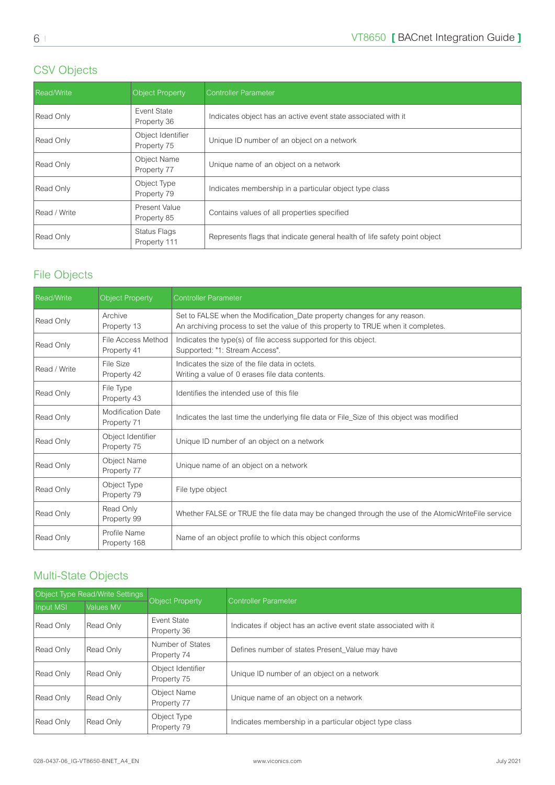### <span id="page-5-0"></span>CSV Objects

| <b>Read/Write</b> | Object Property                  | <b>Controller Parameter</b>                                               |
|-------------------|----------------------------------|---------------------------------------------------------------------------|
| Read Only         | Event State<br>Property 36       | Indicates object has an active event state associated with it             |
| Read Only         | Object Identifier<br>Property 75 | Unique ID number of an object on a network                                |
| Read Only         | Object Name<br>Property 77       | Unique name of an object on a network                                     |
| Read Only         | Object Type<br>Property 79       | Indicates membership in a particular object type class                    |
| Read / Write      | Present Value<br>Property 85     | Contains values of all properties specified                               |
| Read Only         | Status Flags<br>Property 111     | Represents flags that indicate general health of life safety point object |

### File Objects

| Read/Write   | <b>Object Property</b>                  | <b>Controller Parameter</b>                                                                                                                                   |
|--------------|-----------------------------------------|---------------------------------------------------------------------------------------------------------------------------------------------------------------|
| Read Only    | Archive<br>Property 13                  | Set to FALSE when the Modification_Date property changes for any reason.<br>An archiving process to set the value of this property to TRUE when it completes. |
| Read Only    | File Access Method<br>Property 41       | Indicates the type(s) of file access supported for this object.<br>Supported: "1: Stream Access".                                                             |
| Read / Write | File Size<br>Property 42                | Indicates the size of the file data in octets.<br>Writing a value of 0 erases file data contents.                                                             |
| Read Only    | File Type<br>Property 43                | Identifies the intended use of this file                                                                                                                      |
| Read Only    | <b>Modification Date</b><br>Property 71 | Indicates the last time the underlying file data or File_Size of this object was modified                                                                     |
| Read Only    | Object Identifier<br>Property 75        | Unique ID number of an object on a network                                                                                                                    |
| Read Only    | Object Name<br>Property 77              | Unique name of an object on a network                                                                                                                         |
| Read Only    | Object Type<br>Property 79              | File type object                                                                                                                                              |
| Read Only    | Read Only<br>Property 99                | Whether FALSE or TRUE the file data may be changed through the use of the AtomicWriteFile service                                                             |
| Read Only    | Profile Name<br>Property 168            | Name of an object profile to which this object conforms                                                                                                       |

### Multi-State Objects

| Object Type Read/Write Settings |           |                                  |                                                                  |  |
|---------------------------------|-----------|----------------------------------|------------------------------------------------------------------|--|
| Input MSI                       | Values MV | Object Property                  | Controller Parameter                                             |  |
| Read Only                       | Read Only | Event State<br>Property 36       | Indicates if object has an active event state associated with it |  |
| Read Only                       | Read Only | Number of States<br>Property 74  | Defines number of states Present_Value may have                  |  |
| Read Only                       | Read Only | Object Identifier<br>Property 75 | Unique ID number of an object on a network                       |  |
| Read Only                       | Read Only | Object Name<br>Property 77       | Unique name of an object on a network                            |  |
| Read Only                       | Read Only | Object Type<br>Property 79       | Indicates membership in a particular object type class           |  |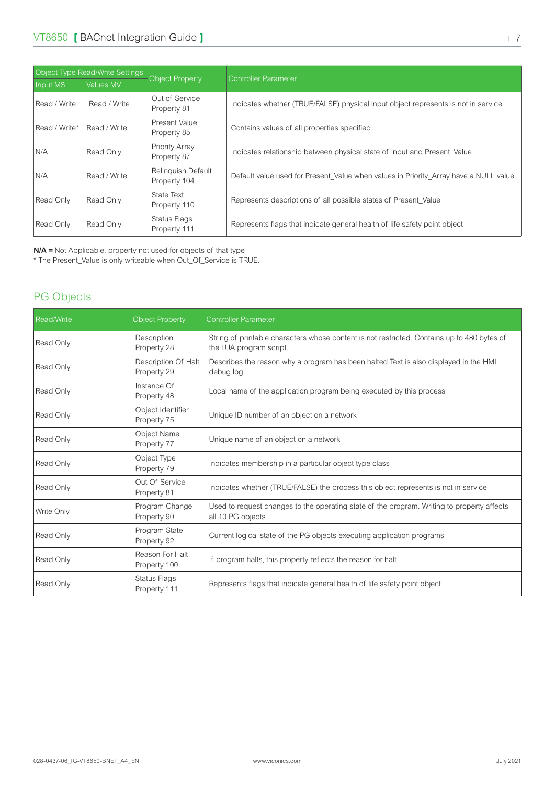<span id="page-6-0"></span>

| Object Type Read/Write Settings |              |                                      |                                                                                      |  |
|---------------------------------|--------------|--------------------------------------|--------------------------------------------------------------------------------------|--|
| <b>Input MSI</b>                | Values MV    | <b>Object Property</b>               | Controller Parameter                                                                 |  |
| Read / Write                    | Read / Write | Out of Service<br>Property 81        | Indicates whether (TRUE/FALSE) physical input object represents is not in service    |  |
| Read / Write*                   | Read / Write | Present Value<br>Property 85         | Contains values of all properties specified                                          |  |
| N/A                             | Read Only    | <b>Priority Array</b><br>Property 87 | Indicates relationship between physical state of input and Present Value             |  |
| N/A                             | Read / Write | Relinguish Default<br>Property 104   | Default value used for Present Value when values in Priority Array have a NULL value |  |
| Read Only                       | Read Only    | State Text<br>Property 110           | Represents descriptions of all possible states of Present Value                      |  |
| Read Only                       | Read Only    | Status Flags<br>Property 111         | Represents flags that indicate general health of life safety point object            |  |

**N/A =** Not Applicable, property not used for objects of that type

\* The Present\_Value is only writeable when Out\_Of\_Service is TRUE.

## PG Objects

| <b>Read/Write</b> | <b>Object Property</b>             | <b>Controller Parameter</b>                                                                                            |
|-------------------|------------------------------------|------------------------------------------------------------------------------------------------------------------------|
| Read Only         | Description<br>Property 28         | String of printable characters whose content is not restricted. Contains up to 480 bytes of<br>the LUA program script. |
| Read Only         | Description Of Halt<br>Property 29 | Describes the reason why a program has been halted Text is also displayed in the HMI<br>debug log                      |
| Read Only         | Instance Of<br>Property 48         | Local name of the application program being executed by this process                                                   |
| Read Only         | Object Identifier<br>Property 75   | Unique ID number of an object on a network                                                                             |
| Read Only         | Object Name<br>Property 77         | Unique name of an object on a network                                                                                  |
| Read Only         | Object Type<br>Property 79         | Indicates membership in a particular object type class                                                                 |
| Read Only         | Out Of Service<br>Property 81      | Indicates whether (TRUE/FALSE) the process this object represents is not in service                                    |
| Write Only        | Program Change<br>Property 90      | Used to request changes to the operating state of the program. Writing to property affects<br>all 10 PG objects        |
| Read Only         | Program State<br>Property 92       | Current logical state of the PG objects executing application programs                                                 |
| Read Only         | Reason For Halt<br>Property 100    | If program halts, this property reflects the reason for halt                                                           |
| Read Only         | Status Flags<br>Property 111       | Represents flags that indicate general health of life safety point object                                              |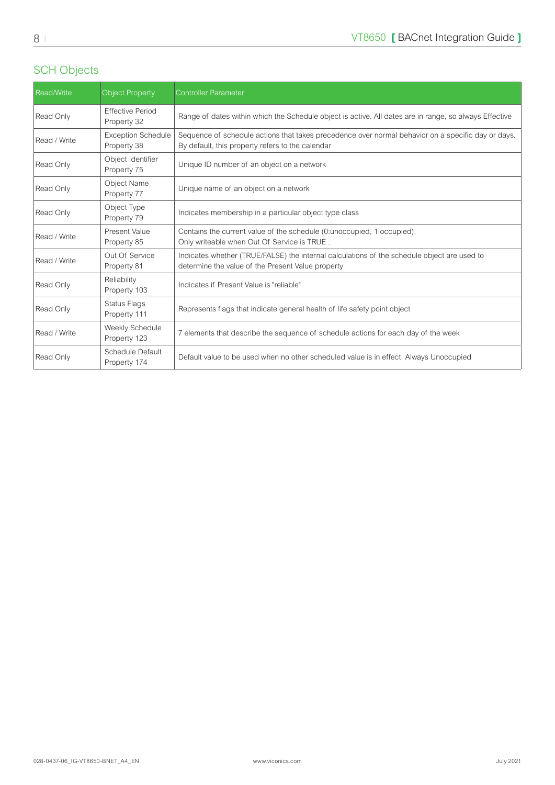### <span id="page-7-0"></span>SCH Objects

| Read/Write   | <b>Object Property</b>                   | <b>Controller Parameter</b>                                                                                                                            |
|--------------|------------------------------------------|--------------------------------------------------------------------------------------------------------------------------------------------------------|
| Read Only    | <b>Effective Period</b><br>Property 32   | Range of dates within which the Schedule object is active. All dates are in range, so always Effective                                                 |
| Read / Write | <b>Exception Schedule</b><br>Property 38 | Sequence of schedule actions that takes precedence over normal behavior on a specific day or days.<br>By default, this property refers to the calendar |
| Read Only    | Object Identifier<br>Property 75         | Unique ID number of an object on a network                                                                                                             |
| Read Only    | <b>Object Name</b><br>Property 77        | Unique name of an object on a network                                                                                                                  |
| Read Only    | Object Type<br>Property 79               | Indicates membership in a particular object type class                                                                                                 |
| Read / Write | Present Value<br>Property 85             | Contains the current value of the schedule (0: unoccupied, 1: occupied).<br>Only writeable when Out Of Service is TRUE.                                |
| Read / Write | Out Of Service<br>Property 81            | Indicates whether (TRUE/FALSE) the internal calculations of the schedule object are used to<br>determine the value of the Present Value property       |
| Read Only    | Reliability<br>Property 103              | Indicates if Present Value is "reliable"                                                                                                               |
| Read Only    | <b>Status Flags</b><br>Property 111      | Represents flags that indicate general health of life safety point object                                                                              |
| Read / Write | Weekly Schedule<br>Property 123          | 7 elements that describe the sequence of schedule actions for each day of the week                                                                     |
| Read Only    | Schedule Default<br>Property 174         | Default value to be used when no other scheduled value is in effect. Always Unoccupied                                                                 |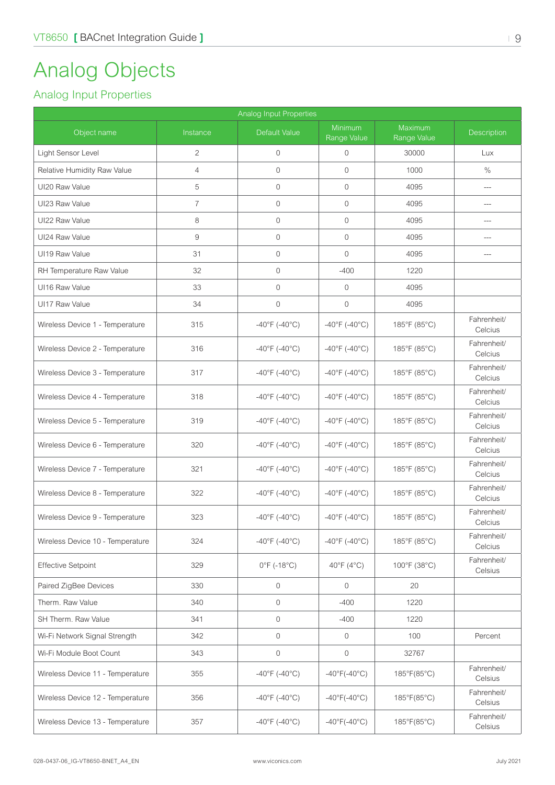# <span id="page-8-0"></span>Analog Objects

### Analog Input Properties

| Analog Input Properties          |                |                                    |                                    |                             |                        |  |  |  |
|----------------------------------|----------------|------------------------------------|------------------------------------|-----------------------------|------------------------|--|--|--|
| Object name                      | Instance       | Default Value                      | Minimum<br>Range Value             | Maximum<br>Range Value      | Description            |  |  |  |
| Light Sensor Level               | $\overline{2}$ | $\overline{0}$                     | $\mathbf{0}$                       | 30000                       | Lux                    |  |  |  |
| Relative Humidity Raw Value      | $\overline{4}$ | $\overline{0}$                     | $\mathbf 0$                        | 1000                        | $\%$                   |  |  |  |
| UI20 Raw Value                   | 5              | $\mathbf{0}$                       | $\mathbf 0$                        | 4095                        | $---$                  |  |  |  |
| UI23 Raw Value                   | $\overline{7}$ | $\mathbf{0}$                       | $\mathbf{0}$                       | 4095                        | $---$                  |  |  |  |
| UI22 Raw Value                   | 8              | $\mathbf{0}$                       | $\mathbf 0$                        | 4095                        | $---$                  |  |  |  |
| UI24 Raw Value                   | $\hbox{9}$     | $\mathbf{0}$                       | $\mathbf{0}$                       | 4095                        | $---$                  |  |  |  |
| UI19 Raw Value                   | 31             | $\mathbf{0}$                       | $\mathbf{0}$                       | 4095                        | $---$                  |  |  |  |
| RH Temperature Raw Value         | 32             | $\mathbf{0}$                       | $-400$                             | 1220                        |                        |  |  |  |
| UI16 Raw Value                   | 33             | $\mathbf{0}$                       | $\mathbf{0}$                       | 4095                        |                        |  |  |  |
| UI17 Raw Value                   | 34             | $\overline{0}$                     | $\overline{0}$                     | 4095                        |                        |  |  |  |
| Wireless Device 1 - Temperature  | 315            | $-40^{\circ}$ F (-40°C)            | $-40^{\circ}$ F (-40°C)            | 185°F (85°C)                | Fahrenheit/<br>Celcius |  |  |  |
| Wireless Device 2 - Temperature  | 316            | $-40^{\circ}$ F (-40 $^{\circ}$ C) | $-40^{\circ}$ F (-40°C)            | 185°F (85°C)                | Fahrenheit/<br>Celcius |  |  |  |
| Wireless Device 3 - Temperature  | 317            | $-40^{\circ}$ F ( $-40^{\circ}$ C) | $-40^{\circ}$ F ( $-40^{\circ}$ C) | 185°F (85°C)                | Fahrenheit/<br>Celcius |  |  |  |
| Wireless Device 4 - Temperature  | 318            | $-40^{\circ}$ F (-40°C)            | $-40^{\circ}$ F ( $-40^{\circ}$ C) | 185°F (85°C)                | Fahrenheit/<br>Celcius |  |  |  |
| Wireless Device 5 - Temperature  | 319            | $-40^{\circ}$ F (-40°C)            | $-40^{\circ}$ F (-40°C)            | 185°F (85°C)                | Fahrenheit/<br>Celcius |  |  |  |
| Wireless Device 6 - Temperature  | 320            | $-40^{\circ}$ F (-40°C)            | $-40^{\circ}$ F (-40°C)            | 185°F (85°C)                | Fahrenheit/<br>Celcius |  |  |  |
| Wireless Device 7 - Temperature  | 321            | $-40^{\circ}$ F (-40 $^{\circ}$ C) | $-40^{\circ}$ F ( $-40^{\circ}$ C) | 185°F (85°C)                | Fahrenheit/<br>Celcius |  |  |  |
| Wireless Device 8 - Temperature  | 322            | $-40^{\circ}$ F (-40 $^{\circ}$ C) | $-40^{\circ}$ F (-40°C)            | 185°F (85°C)                | Fahrenheit/<br>Celcius |  |  |  |
| Wireless Device 9 - Temperature  | 323            | $-40^{\circ}$ F (-40°C)            | $-40^{\circ}$ F (-40°C)            | 185°F (85°C)                | Fahrenheit/<br>Celcius |  |  |  |
| Wireless Device 10 - Temperature | 324            | $-40^{\circ}$ F (-40°C)            | $-40^{\circ}$ F (-40°C)            | 185°F (85°C)                | Fahrenheit/<br>Celcius |  |  |  |
| <b>Effective Setpoint</b>        | 329            | $0^{\circ}$ F (-18 $^{\circ}$ C)   | 40°F (4°C)                         | 100°F (38°C)                | Fahrenheit/<br>Celsius |  |  |  |
| Paired ZigBee Devices            | 330            | $\mathbf{0}$                       | $\overline{0}$                     | 20                          |                        |  |  |  |
| Therm. Raw Value                 | 340            | $\mathbf{0}$                       | $-400$                             | 1220                        |                        |  |  |  |
| SH Therm, Raw Value              | 341            | $\mathbf{0}$                       | $-400$                             | 1220                        |                        |  |  |  |
| Wi-Fi Network Signal Strength    | 342            | $\mathbf{0}$                       | $\circ$                            | 100                         | Percent                |  |  |  |
| Wi-Fi Module Boot Count          | 343            | $\mathbf{0}$                       | $\mathbf 0$                        | 32767                       |                        |  |  |  |
| Wireless Device 11 - Temperature | 355            | $-40^{\circ}$ F (-40°C)            | $-40^{\circ}$ F( $-40^{\circ}$ C)  | 185°F(85°C)                 | Fahrenheit/<br>Celsius |  |  |  |
| Wireless Device 12 - Temperature | 356            | $-40^{\circ}$ F (-40°C)            | $-40^{\circ}F(-40^{\circ}C)$       | 185°F(85°C)                 | Fahrenheit/<br>Celsius |  |  |  |
| Wireless Device 13 - Temperature | 357            | $-40^{\circ}$ F (-40°C)            | $-40^{\circ}$ F( $-40^{\circ}$ C)  | $185^{\circ}F(85^{\circ}C)$ | Fahrenheit/<br>Celsius |  |  |  |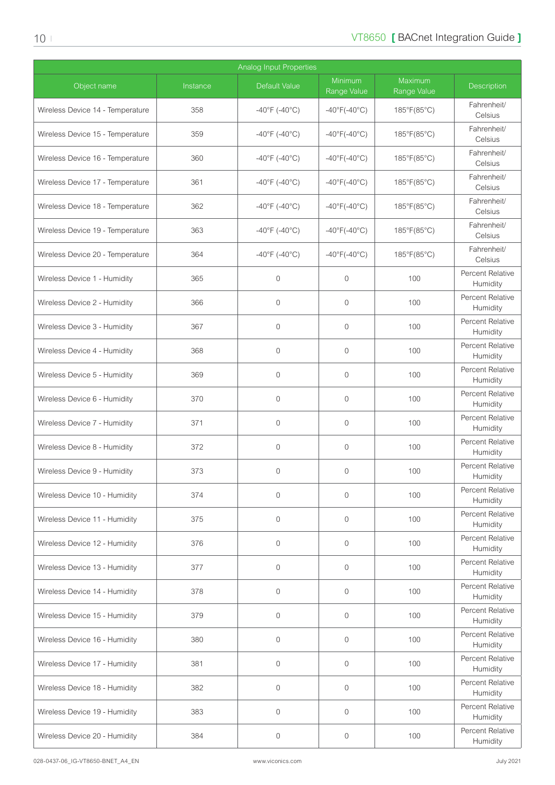| <b>Analog Input Properties</b>   |          |                                    |                                   |                        |                              |  |  |
|----------------------------------|----------|------------------------------------|-----------------------------------|------------------------|------------------------------|--|--|
| Object name                      | Instance | Default Value                      | Minimum<br>Range Value            | Maximum<br>Range Value | <b>Description</b>           |  |  |
| Wireless Device 14 - Temperature | 358      | $-40^{\circ}$ F (-40°C)            | $-40^{\circ}F(-40^{\circ}C)$      | 185°F(85°C)            | Fahrenheit/<br>Celsius       |  |  |
| Wireless Device 15 - Temperature | 359      | $-40^{\circ}$ F (-40°C)            | $-40^{\circ}F(-40^{\circ}C)$      | 185°F(85°C)            | Fahrenheit/<br>Celsius       |  |  |
| Wireless Device 16 - Temperature | 360      | $-40^{\circ}$ F (-40°C)            | $-40^{\circ}F(-40^{\circ}C)$      | 185°F(85°C)            | Fahrenheit/<br>Celsius       |  |  |
| Wireless Device 17 - Temperature | 361      | $-40^{\circ}$ F (-40°C)            | $-40^{\circ}$ F( $-40^{\circ}$ C) | 185°F(85°C)            | Fahrenheit/<br>Celsius       |  |  |
| Wireless Device 18 - Temperature | 362      | $-40^{\circ}$ F (-40°C)            | $-40^{\circ}F(-40^{\circ}C)$      | 185°F(85°C)            | Fahrenheit/<br>Celsius       |  |  |
| Wireless Device 19 - Temperature | 363      | $-40^{\circ}$ F (-40 $^{\circ}$ C) | $-40^{\circ}F(-40^{\circ}C)$      | 185°F(85°C)            | Fahrenheit/<br>Celsius       |  |  |
| Wireless Device 20 - Temperature | 364      | $-40^{\circ}$ F (-40°C)            | $-40^{\circ}$ F( $-40^{\circ}$ C) | 185°F(85°C)            | Fahrenheit/<br>Celsius       |  |  |
| Wireless Device 1 - Humidity     | 365      | $\mathbf 0$                        | $\overline{0}$                    | 100                    | Percent Relative<br>Humidity |  |  |
| Wireless Device 2 - Humidity     | 366      | $\overline{0}$                     | 0                                 | 100                    | Percent Relative<br>Humidity |  |  |
| Wireless Device 3 - Humidity     | 367      | $\mathbf 0$                        | 0                                 | 100                    | Percent Relative<br>Humidity |  |  |
| Wireless Device 4 - Humidity     | 368      | $\mathbf 0$                        | $\mathbf{0}$                      | 100                    | Percent Relative<br>Humidity |  |  |
| Wireless Device 5 - Humidity     | 369      | $\mathbf{0}$                       | $\overline{0}$                    | 100                    | Percent Relative<br>Humidity |  |  |
| Wireless Device 6 - Humidity     | 370      | $\overline{0}$                     | 0                                 | 100                    | Percent Relative<br>Humidity |  |  |
| Wireless Device 7 - Humidity     | 371      | $\mathbf 0$                        | $\mathbf 0$                       | 100                    | Percent Relative<br>Humidity |  |  |
| Wireless Device 8 - Humidity     | 372      | $\mathbf 0$                        | $\mathbf 0$                       | 100                    | Percent Relative<br>Humidity |  |  |
| Wireless Device 9 - Humidity     | 373      | $\mathbf 0$                        | 0                                 | 100                    | Percent Relative<br>Humidity |  |  |
| Wireless Device 10 - Humidity    | 374      | $\mathbf 0$                        | $\overline{0}$                    | 100                    | Percent Relative<br>Humidity |  |  |
| Wireless Device 11 - Humidity    | 375      | $\mathbf{0}$                       | 0                                 | 100                    | Percent Relative<br>Humidity |  |  |
| Wireless Device 12 - Humidity    | 376      | $\overline{0}$                     | 0                                 | 100                    | Percent Relative<br>Humidity |  |  |
| Wireless Device 13 - Humidity    | 377      | $\mathbf 0$                        | $\overline{0}$                    | 100                    | Percent Relative<br>Humidity |  |  |
| Wireless Device 14 - Humidity    | 378      | $\mathbf 0$                        | $\overline{0}$                    | 100                    | Percent Relative<br>Humidity |  |  |
| Wireless Device 15 - Humidity    | 379      | $\mathbf{0}$                       | $\overline{0}$                    | 100                    | Percent Relative<br>Humidity |  |  |
| Wireless Device 16 - Humidity    | 380      | $\overline{0}$                     | 0                                 | 100                    | Percent Relative<br>Humidity |  |  |
| Wireless Device 17 - Humidity    | 381      | $\mathbf{0}$                       | $\mathbf{0}$                      | 100                    | Percent Relative<br>Humidity |  |  |
| Wireless Device 18 - Humidity    | 382      | $\mathbf{0}$                       | 0                                 | 100                    | Percent Relative<br>Humidity |  |  |
| Wireless Device 19 - Humidity    | 383      | $\mathbf 0$                        | 0                                 | 100                    | Percent Relative<br>Humidity |  |  |
| Wireless Device 20 - Humidity    | 384      | 0                                  | 0                                 | 100                    | Percent Relative<br>Humidity |  |  |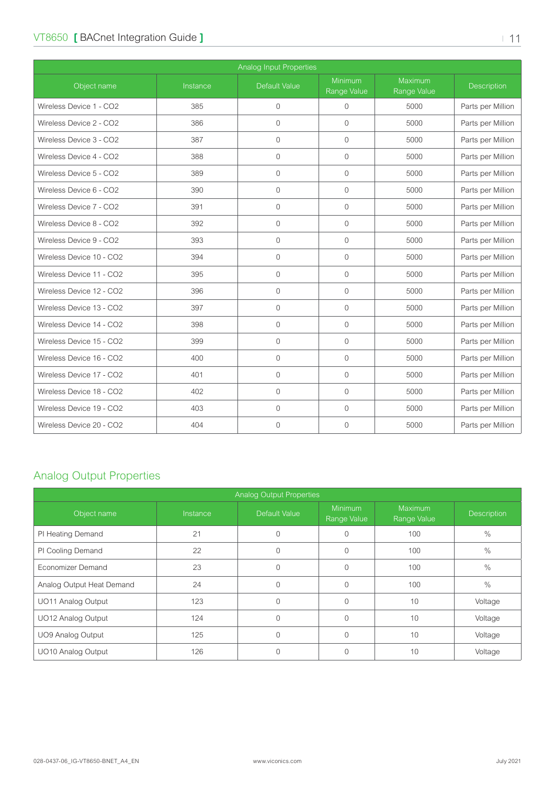#### <span id="page-10-0"></span>VT8650 **[ BACnet Integration Guide ]**  $\blacksquare$

| Analog Input Properties  |          |                      |                        |                        |                    |  |  |
|--------------------------|----------|----------------------|------------------------|------------------------|--------------------|--|--|
| Object name              | Instance | <b>Default Value</b> | Minimum<br>Range Value | Maximum<br>Range Value | <b>Description</b> |  |  |
| Wireless Device 1 - CO2  | 385      | $\overline{0}$       | $\mathbf{0}$           | 5000                   | Parts per Million  |  |  |
| Wireless Device 2 - CO2  | 386      | $\Omega$             | $\Omega$               | 5000                   | Parts per Million  |  |  |
| Wireless Device 3 - CO2  | 387      | $\mathbf{0}$         | $\mathbf{0}$           | 5000                   | Parts per Million  |  |  |
| Wireless Device 4 - CO2  | 388      | $\Omega$             | $\Omega$               | 5000                   | Parts per Million  |  |  |
| Wireless Device 5 - CO2  | 389      | $\Omega$             | $\overline{0}$         | 5000                   | Parts per Million  |  |  |
| Wireless Device 6 - CO2  | 390      | $\Omega$             | $\Omega$               | 5000                   | Parts per Million  |  |  |
| Wireless Device 7 - CO2  | 391      | $\overline{0}$       | $\mathbf{0}$           | 5000                   | Parts per Million  |  |  |
| Wireless Device 8 - CO2  | 392      | $\Omega$             | $\mathbf{0}$           | 5000                   | Parts per Million  |  |  |
| Wireless Device 9 - CO2  | 393      | $\mathbf{0}$         | $\mathbf{0}$           | 5000                   | Parts per Million  |  |  |
| Wireless Device 10 - CO2 | 394      | $\Omega$             | $\overline{0}$         | 5000                   | Parts per Million  |  |  |
| Wireless Device 11 - CO2 | 395      | $\mathbf{0}$         | $\mathbf{0}$           | 5000                   | Parts per Million  |  |  |
| Wireless Device 12 - CO2 | 396      | $\Omega$             | $\Omega$               | 5000                   | Parts per Million  |  |  |
| Wireless Device 13 - CO2 | 397      | $\mathbf{0}$         | $\mathbf 0$            | 5000                   | Parts per Million  |  |  |
| Wireless Device 14 - CO2 | 398      | $\Omega$             | $\mathbf{0}$           | 5000                   | Parts per Million  |  |  |
| Wireless Device 15 - CO2 | 399      | $\Omega$             | $\Omega$               | 5000                   | Parts per Million  |  |  |
| Wireless Device 16 - CO2 | 400      | $\Omega$             | $\overline{0}$         | 5000                   | Parts per Million  |  |  |
| Wireless Device 17 - CO2 | 401      | $\mathbf{0}$         | $\overline{0}$         | 5000                   | Parts per Million  |  |  |
| Wireless Device 18 - CO2 | 402      | $\Omega$             | $\Omega$               | 5000                   | Parts per Million  |  |  |
| Wireless Device 19 - CO2 | 403      | $\mathbf{0}$         | $\mathbf 0$            | 5000                   | Parts per Million  |  |  |
| Wireless Device 20 - CO2 | 404      | $\Omega$             | $\overline{0}$         | 5000                   | Parts per Million  |  |  |

### Analog Output Properties

| <b>Analog Output Properties</b> |          |               |                               |                               |                    |  |  |  |
|---------------------------------|----------|---------------|-------------------------------|-------------------------------|--------------------|--|--|--|
| Object name                     | Instance | Default Value | <b>Minimum</b><br>Range Value | <b>Maximum</b><br>Range Value | <b>Description</b> |  |  |  |
| PI Heating Demand               | 21       | $\Omega$      |                               | 100                           | $\%$               |  |  |  |
| PI Cooling Demand               | 22       | $\Omega$      | $\Omega$                      | 100                           | $\frac{0}{0}$      |  |  |  |
| Economizer Demand               | 23       | $\Omega$      | $\Omega$                      | 100                           | $\%$               |  |  |  |
| Analog Output Heat Demand       | 24       | $\Omega$      | $\Omega$                      | 100                           | $\%$               |  |  |  |
| UO11 Analog Output              | 123      | $\Omega$      | $\Omega$                      | 10                            | Voltage            |  |  |  |
| UO12 Analog Output              | 124      | $\Omega$      | 0                             | 10                            | Voltage            |  |  |  |
| UO9 Analog Output               | 125      | $\Omega$      | $\Omega$                      | 10                            | Voltage            |  |  |  |
| UO10 Analog Output              | 126      | $\Omega$      | 0                             | 10                            | Voltage            |  |  |  |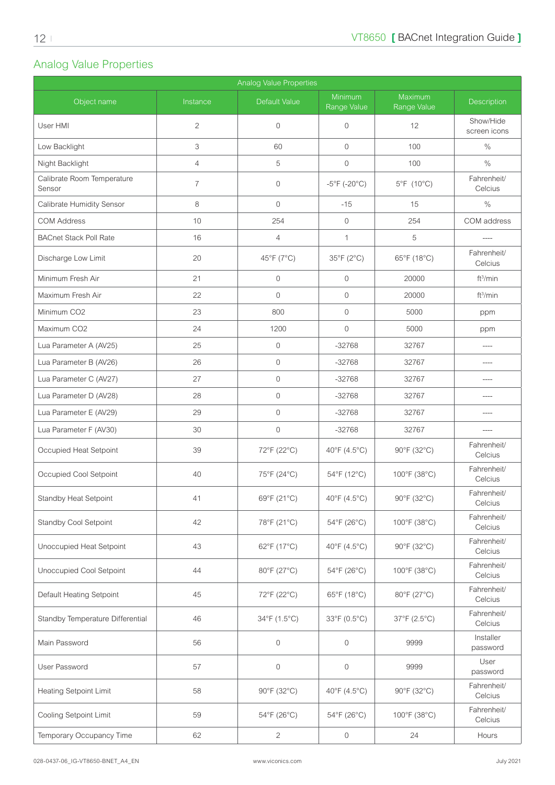# <span id="page-11-0"></span>Analog Value Properties

| Analog Value Properties              |                |                     |                                   |                        |                           |  |  |  |
|--------------------------------------|----------------|---------------------|-----------------------------------|------------------------|---------------------------|--|--|--|
| Object name                          | Instance       | Default Value       | Minimum<br>Range Value            | Maximum<br>Range Value | <b>Description</b>        |  |  |  |
| User HMI                             | $\overline{c}$ | $\overline{0}$      | $\mathbf 0$                       | 12                     | Show/Hide<br>screen icons |  |  |  |
| Low Backlight                        | 3              | 60                  | $\mathbf 0$                       | 100                    | $\%$                      |  |  |  |
| Night Backlight                      | $\overline{4}$ | 5                   | $\mathbf 0$                       | 100                    | $\%$                      |  |  |  |
| Calibrate Room Temperature<br>Sensor | $\overline{7}$ | $\mathbf{0}$        | $-5^{\circ}$ F (-20 $^{\circ}$ C) | 5°F (10°C)             | Fahrenheit/<br>Celcius    |  |  |  |
| Calibrate Humidity Sensor            | 8              | $\mathbf 0$         | $-15$                             | 15                     | $\%$                      |  |  |  |
| <b>COM Address</b>                   | 10             | 254                 | $\mathbf 0$                       | 254                    | COM address               |  |  |  |
| <b>BACnet Stack Poll Rate</b>        | 16             | $\overline{4}$      | $\mathbf{1}$                      | 5                      |                           |  |  |  |
| Discharge Low Limit                  | 20             | 45°F (7°C)          | 35°F (2°C)                        | 65°F (18°C)            | Fahrenheit/<br>Celcius    |  |  |  |
| Minimum Fresh Air                    | 21             | $\mathbf{0}$        | $\mathbf{0}$                      | 20000                  | ft <sup>3</sup> /min      |  |  |  |
| Maximum Fresh Air                    | 22             | $\mathbf{0}$        | $\mathbf{0}$                      | 20000                  | ft <sup>3</sup> /min      |  |  |  |
| Minimum CO <sub>2</sub>              | 23             | 800                 | $\mathbf{0}$                      | 5000                   | ppm                       |  |  |  |
| Maximum CO2                          | 24             | 1200                | $\mathbf{0}$                      | 5000                   | ppm                       |  |  |  |
| Lua Parameter A (AV25)               | 25             | $\mathbf{0}$        | $-32768$                          | 32767                  | $\cdots$                  |  |  |  |
| Lua Parameter B (AV26)               | 26             | $\mathbf 0$         | $-32768$                          | 32767                  | ----                      |  |  |  |
| Lua Parameter C (AV27)               | 27             | $\mathbf 0$         | $-32768$                          | 32767                  | ----                      |  |  |  |
| Lua Parameter D (AV28)               | 28             | $\mathbf{0}$        | $-32768$                          | 32767                  | $---$                     |  |  |  |
| Lua Parameter E (AV29)               | 29             | $\mathbf 0$         | $-32768$                          | 32767                  | $---$                     |  |  |  |
| Lua Parameter F (AV30)               | 30             | $\mathbf 0$         | $-32768$                          | 32767                  | $---$                     |  |  |  |
| Occupied Heat Setpoint               | 39             | 72°F (22°C)         | 40°F (4.5°C)                      | 90°F (32°C)            | Fahrenheit/<br>Celcius    |  |  |  |
| Occupied Cool Setpoint               | 40             | 75°F (24°C)         | 54°F (12°C)                       | 100°F (38°C)           | Fahrenheit/<br>Celcius    |  |  |  |
| Standby Heat Setpoint                | 41             | 69°F (21°C)         | 40°F (4.5°C)                      | 90°F (32°C)            | Fahrenheit/<br>Celcius    |  |  |  |
| <b>Standby Cool Setpoint</b>         | 42             | 78°F (21°C)         | 54°F (26°C)                       | 100°F (38°C)           | Fahrenheit/<br>Celcius    |  |  |  |
| Unoccupied Heat Setpoint             | 43             | 62°F (17°C)         | 40°F (4.5°C)                      | 90°F (32°C)            | Fahrenheit/<br>Celcius    |  |  |  |
| Unoccupied Cool Setpoint             | 44             | 80°F (27°C)         | 54°F (26°C)                       | 100°F (38°C)           | Fahrenheit/<br>Celcius    |  |  |  |
| Default Heating Setpoint             | 45             | 72°F (22°C)         | 65°F (18°C)                       | 80°F (27°C)            | Fahrenheit/<br>Celcius    |  |  |  |
| Standby Temperature Differential     | 46             | 34°F (1.5°C)        | 33°F (0.5°C)                      | 37°F (2.5°C)           | Fahrenheit/<br>Celcius    |  |  |  |
| Main Password                        | 56             | $\boldsymbol{0}$    | $\mathsf{O}\xspace$               | 9999                   | Installer<br>password     |  |  |  |
| User Password                        | 57             | $\mathsf{O}\xspace$ | $\boldsymbol{0}$                  | 9999                   | User<br>password          |  |  |  |
| <b>Heating Setpoint Limit</b>        | 58             | 90°F (32°C)         | 40°F (4.5°C)                      | 90°F (32°C)            | Fahrenheit/<br>Celcius    |  |  |  |
| Cooling Setpoint Limit               | 59             | 54°F (26°C)         | 54°F (26°C)                       | 100°F (38°C)           | Fahrenheit/<br>Celcius    |  |  |  |
| Temporary Occupancy Time             | 62             | 2                   | 0                                 | 24                     | Hours                     |  |  |  |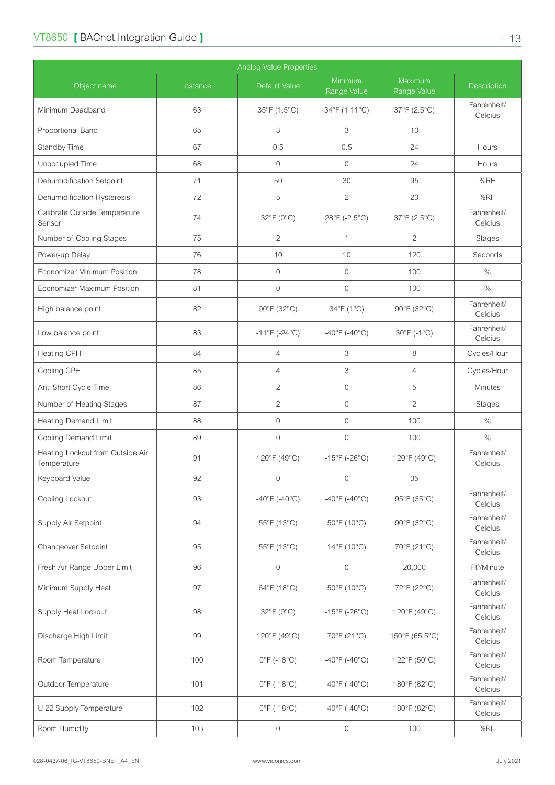| <b>Analog Value Properties</b>                  |          |                                  |                                    |                        |                         |  |  |
|-------------------------------------------------|----------|----------------------------------|------------------------------------|------------------------|-------------------------|--|--|
| Object name                                     | Instance | <b>Default Value</b>             | Minimum<br>Range Value             | Maximum<br>Range Value | <b>Description</b>      |  |  |
| Minimum Deadband                                | 63       | 35°F (1.5°C)                     | 34°F (1.11°C)                      | 37°F (2.5°C)           | Fahrenheit/<br>Celcius  |  |  |
| Proportional Band                               | 65       | 3                                | 3                                  | 10                     |                         |  |  |
| Standby Time                                    | 67       | 0.5                              | 0.5                                | 24                     | Hours                   |  |  |
| Unoccupied Time                                 | 68       | $\mathbf 0$                      | $\overline{0}$                     | 24                     | Hours                   |  |  |
| Dehumidification Setpoint                       | 71       | 50                               | 30                                 | 95                     | %RH                     |  |  |
| Dehumidification Hysteresis                     | 72       | 5                                | $\overline{2}$                     | 20                     | %RH                     |  |  |
| Calibrate Outside Temperature<br>Sensor         | 74       | 32°F (0°C)                       | 28°F (-2.5°C)                      | 37°F (2.5°C)           | Fahrenheit/<br>Celcius  |  |  |
| Number of Cooling Stages                        | 75       | $\overline{2}$                   | 1                                  | $\overline{2}$         | Stages                  |  |  |
| Power-up Delay                                  | 76       | 10                               | 10                                 | 120                    | Seconds                 |  |  |
| Economizer Minimum Position                     | 78       | $\mathbf 0$                      | $\mathbf 0$                        | 100                    | $\%$                    |  |  |
| Economizer Maximum Position                     | 81       | $\mathbf 0$                      | $\mathbf 0$                        | 100                    | $\frac{0}{0}$           |  |  |
| High balance point                              | 82       | 90°F (32°C)                      | 34°F (1°C)                         | 90°F (32°C)            | Fahrenheit/<br>Celcius  |  |  |
| Low balance point                               | 83       | $-11^{\circ}F(-24^{\circ}C)$     | $-40^{\circ}$ F (-40°C)            | 30°F (-1°C)            | Fahrenheit/<br>Celcius  |  |  |
| Heating CPH                                     | 84       | $\overline{4}$                   | 3                                  | 8                      | Cycles/Hour             |  |  |
| Cooling CPH                                     | 85       | $\overline{4}$                   | 3                                  | $\overline{4}$         | Cycles/Hour             |  |  |
| Anti Short Cycle Time                           | 86       | $\overline{2}$                   | $\mathbf 0$                        | 5                      | <b>Minutes</b>          |  |  |
| Number of Heating Stages                        | 87       | $\overline{c}$                   | $\mathbf 0$                        | $\overline{2}$         | Stages                  |  |  |
| <b>Heating Demand Limit</b>                     | 88       | $\mathbf 0$                      | $\mathbf 0$                        | 100                    | $\%$                    |  |  |
| <b>Cooling Demand Limit</b>                     | 89       | $\mathbf 0$                      | $\mathbf 0$                        | 100                    | $\%$                    |  |  |
| Heating Lockout from Outside Air<br>Temperature | 91       | 120°F (49°C)                     | $-15^{\circ}$ F (-26°C)            | 120°F (49°C)           | Fahrenheit/<br>Celcius  |  |  |
| Keyboard Value                                  | 92       | $\mathbf 0$                      | $\mathbf{0}$                       | 35                     | ----                    |  |  |
| Cooling Lockout                                 | 93       | $-40^{\circ}$ F (-40°C)          | $-40^{\circ}$ F (-40°C)            | 95°F (35°C)            | Fahrenheit/<br>Celcius  |  |  |
| Supply Air Setpoint                             | 94       | 55°F (13°C)                      | 50°F (10°C)                        | 90°F (32°C)            | Fahrenheit/<br>Celcius  |  |  |
| Changeover Setpoint                             | 95       | 55°F (13°C)                      | 14°F (10°C)                        | 70°F (21°C)            | Fahrenheit/<br>Celcius  |  |  |
| Fresh Air Range Upper Limit                     | 96       | $\mathsf{O}\xspace$              | $\mathsf{O}\xspace$                | 20,000                 | Ft <sup>3</sup> /Minute |  |  |
| Minimum Supply Heat                             | 97       | 64°F (18°C)                      | 50°F (10°C)                        | 72°F (22°C)            | Fahrenheit/<br>Celcius  |  |  |
| Supply Heat Lockout                             | 98       | $32^{\circ}F(0^{\circ}C)$        | $-15^{\circ}$ F (-26 $^{\circ}$ C) | 120°F (49°C)           | Fahrenheit/<br>Celcius  |  |  |
| Discharge High Limit                            | 99       | 120°F (49°C)                     | 70°F (21°C)                        | 150°F (65.5°C)         | Fahrenheit/<br>Celcius  |  |  |
| Room Temperature                                | 100      | $0^{\circ}$ F (-18 $^{\circ}$ C) | $-40^{\circ}$ F (-40°C)            | 122°F (50°C)           | Fahrenheit/<br>Celcius  |  |  |
| Outdoor Temperature                             | 101      | $0^{\circ}$ F (-18 $^{\circ}$ C) | $-40^{\circ}$ F ( $-40^{\circ}$ C) | 180°F (82°C)           | Fahrenheit/<br>Celcius  |  |  |
| UI22 Supply Temperature                         | 102      | $0^{\circ}$ F (-18°C)            | $-40^{\circ}$ F (-40°C)            | 180°F (82°C)           | Fahrenheit/<br>Celcius  |  |  |
| Room Humidity                                   | 103      | $\boldsymbol{0}$                 | 0                                  | 100                    | %RH                     |  |  |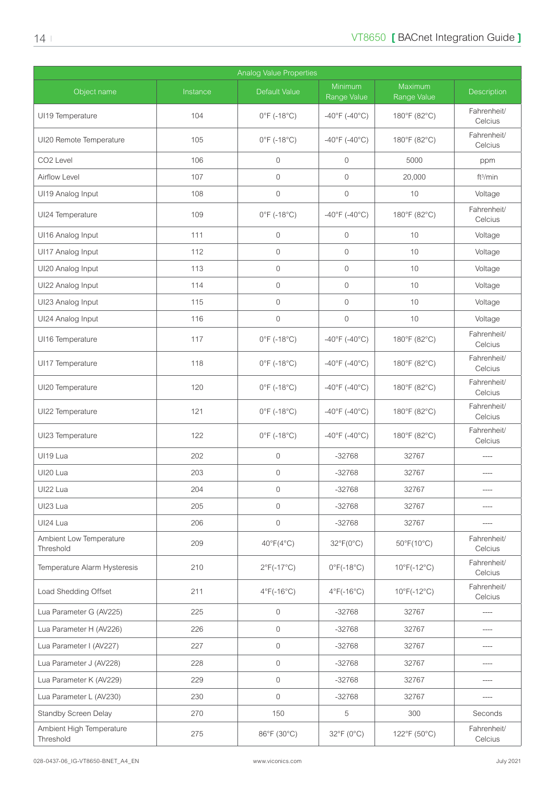| <b>Analog Value Properties</b>        |          |                                  |                                 |                                 |                        |  |  |
|---------------------------------------|----------|----------------------------------|---------------------------------|---------------------------------|------------------------|--|--|
| Object name                           | Instance | <b>Default Value</b>             | Minimum<br>Range Value          | Maximum<br>Range Value          | Description            |  |  |
| UI19 Temperature                      | 104      | $0^{\circ}$ F (-18 $^{\circ}$ C) | $-40^{\circ}$ F (-40°C)         | 180°F (82°C)                    | Fahrenheit/<br>Celcius |  |  |
| UI20 Remote Temperature               | 105      | $0^{\circ}$ F (-18 $^{\circ}$ C) | $-40^{\circ}$ F (-40°C)         | 180°F (82°C)                    | Fahrenheit/<br>Celcius |  |  |
| CO <sub>2</sub> Level                 | 106      | $\mathbf{0}$                     | $\overline{0}$                  | 5000                            | ppm                    |  |  |
| Airflow Level                         | 107      | $\mathbf{0}$                     | $\mathbf{0}$                    | 20,000                          | ft <sup>3</sup> /min   |  |  |
| UI19 Analog Input                     | 108      | $\mathbf{0}$                     | $\mathbf{0}$                    | 10                              | Voltage                |  |  |
| UI24 Temperature                      | 109      | $0^{\circ}$ F (-18 $^{\circ}$ C) | $-40^{\circ}$ F (-40°C)         | 180°F (82°C)                    | Fahrenheit/<br>Celcius |  |  |
| UI16 Analog Input                     | 111      | $\overline{0}$                   | $\mathbf{0}$                    | 10                              | Voltage                |  |  |
| UI17 Analog Input                     | 112      | $\mathbf{0}$                     | $\mathbf{0}$                    | 10                              | Voltage                |  |  |
| UI20 Analog Input                     | 113      | $\mathbf{0}$                     | $\mathbf{0}$                    | 10                              | Voltage                |  |  |
| UI22 Analog Input                     | 114      | $\mathbf{0}$                     | $\mathbf{0}$                    | 10                              | Voltage                |  |  |
| UI23 Analog Input                     | 115      | $\mathbf{0}$                     | $\mathbf{0}$                    | 10                              | Voltage                |  |  |
| UI24 Analog Input                     | 116      | $\mathbf{0}$                     | $\mathbf{0}$                    | 10                              | Voltage                |  |  |
| UI16 Temperature                      | 117      | $0^{\circ}$ F (-18 $^{\circ}$ C) | $-40^{\circ}$ F (-40°C)         | 180°F (82°C)                    | Fahrenheit/<br>Celcius |  |  |
| UI17 Temperature                      | 118      | $0^{\circ}$ F (-18 $^{\circ}$ C) | $-40^{\circ}$ F (-40°C)         | 180°F (82°C)                    | Fahrenheit/<br>Celcius |  |  |
| UI20 Temperature                      | 120      | $0^{\circ}$ F (-18 $^{\circ}$ C) | $-40^{\circ}$ F (-40°C)         | 180°F (82°C)                    | Fahrenheit/<br>Celcius |  |  |
| UI22 Temperature                      | 121      | $0^{\circ}$ F (-18 $^{\circ}$ C) | $-40^{\circ}$ F (-40°C)         | 180°F (82°C)                    | Fahrenheit/<br>Celcius |  |  |
| UI23 Temperature                      | 122      | $0^{\circ}$ F (-18 $^{\circ}$ C) | $-40^{\circ}$ F (-40°C)         | 180°F (82°C)                    | Fahrenheit/<br>Celcius |  |  |
| UI19 Lua                              | 202      | $\mathbf 0$                      | $-32768$                        | 32767                           | $---$                  |  |  |
| UI20 Lua                              | 203      | $\mathbf 0$                      | $-32768$                        | 32767                           |                        |  |  |
| UI22 Lua                              | 204      | $\mathbf 0$                      | $-32768$                        | 32767                           |                        |  |  |
| UI23 Lua                              | 205      | $\mathbf 0$                      | $-32768$                        | 32767                           |                        |  |  |
| UI24 Lua                              | 206      | $\mathbf{0}$                     | $-32768$                        | 32767                           |                        |  |  |
| Ambient Low Temperature<br>Threshold  | 209      | $40^{\circ}F(4^{\circ}C)$        | $32^{\circ}F(0^{\circ}C)$       | $50^{\circ}$ F(10 $^{\circ}$ C) | Fahrenheit/<br>Celcius |  |  |
| Temperature Alarm Hysteresis          | 210      | $2^{\circ}F(-17^{\circ}C)$       | $0^{\circ}$ F(-18 $^{\circ}$ C) | $10^{\circ}$ F(-12°C)           | Fahrenheit/<br>Celcius |  |  |
| Load Shedding Offset                  | 211      | $4^{\circ}$ F(-16 $^{\circ}$ C)  | $4^{\circ}$ F(-16 $^{\circ}$ C) | $10^{\circ}$ F(-12°C)           | Fahrenheit/<br>Celcius |  |  |
| Lua Parameter G (AV225)               | 225      | $\mathbf{0}$                     | $-32768$                        | 32767                           | ----                   |  |  |
| Lua Parameter H (AV226)               | 226      | $\mathbf 0$                      | $-32768$                        | 32767                           | ----                   |  |  |
| Lua Parameter I (AV227)               | 227      | $\mathbf 0$                      | $-32768$                        | 32767                           | ----                   |  |  |
| Lua Parameter J (AV228)               | 228      | $\mathbf 0$                      | $-32768$                        | 32767                           | $\cdots$               |  |  |
| Lua Parameter K (AV229)               | 229      | $\mathbf 0$                      | $-32768$                        | 32767                           | ----                   |  |  |
| Lua Parameter L (AV230)               | 230      | $\mathbf 0$                      | $-32768$                        | 32767                           |                        |  |  |
| Standby Screen Delay                  | 270      | 150                              | 5                               | 300                             | Seconds                |  |  |
| Ambient High Temperature<br>Threshold | 275      | 86°F (30°C)                      | 32°F (0°C)                      | 122°F (50°C)                    | Fahrenheit/<br>Celcius |  |  |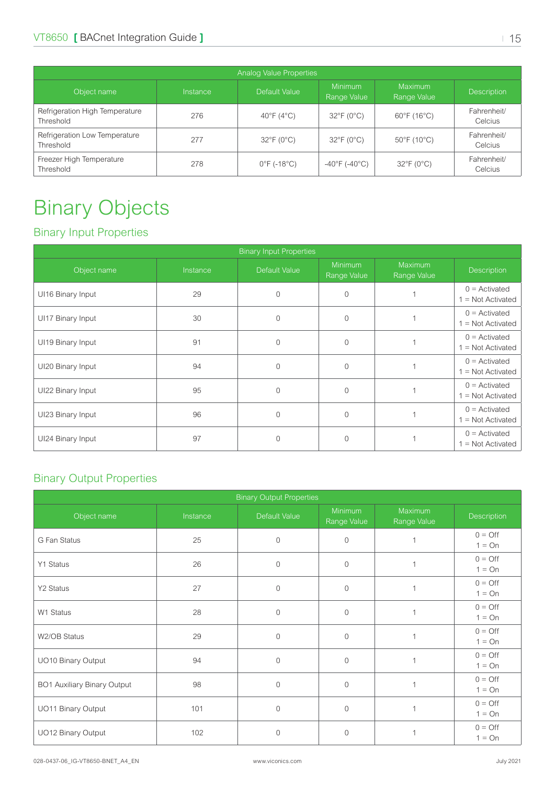<span id="page-14-0"></span>

| Analog Value Properties                     |          |                                  |                                    |                                  |                        |  |  |  |  |
|---------------------------------------------|----------|----------------------------------|------------------------------------|----------------------------------|------------------------|--|--|--|--|
| Object name                                 | Instance | Default Value                    | Minimum<br>Range Value             | Maximum<br>Range Value           | <b>Description</b>     |  |  |  |  |
| Refrigeration High Temperature<br>Threshold | 276      | $40^{\circ}F(4^{\circ}C)$        | $32^{\circ}F(0^{\circ}C)$          | $60^{\circ}$ F (16 $^{\circ}$ C) | Fahrenheit/<br>Celcius |  |  |  |  |
| Refrigeration Low Temperature<br>Threshold  | 277      | $32^{\circ}F(0^{\circ}C)$        | $32^{\circ}F(0^{\circ}C)$          | 50°F (10°C)                      | Fahrenheit/<br>Celcius |  |  |  |  |
| Freezer High Temperature<br>Threshold       | 278      | $0^{\circ}$ F (-18 $^{\circ}$ C) | $-40^{\circ}$ F ( $-40^{\circ}$ C) | $32^{\circ}F(0^{\circ}C)$        | Fahrenheit/<br>Celcius |  |  |  |  |

# Binary Objects

### Binary Input Properties

| <b>Binary Input Properties</b> |          |                |                        |                               |                                        |  |  |
|--------------------------------|----------|----------------|------------------------|-------------------------------|----------------------------------------|--|--|
| Object name                    | Instance | Default Value  | Minimum<br>Range Value | <b>Maximum</b><br>Range Value | <b>Description</b>                     |  |  |
| UI16 Binary Input              | 29       | $\overline{0}$ | $\Omega$               |                               | $0 =$ Activated<br>$1 = Not$ Activated |  |  |
| UI17 Binary Input              | 30       | $\Omega$       | $\Omega$               |                               | $0 =$ Activated<br>$1 = Not$ Activated |  |  |
| UI19 Binary Input              | 91       | $\Omega$       | $\Omega$               |                               | $0 =$ Activated<br>$1 = Not$ Activated |  |  |
| UI20 Binary Input              | 94       | $\Omega$       | $\Omega$               |                               | $0 =$ Activated<br>$1 = Not$ Activated |  |  |
| UI22 Binary Input              | 95       | $\Omega$       | $\Omega$               |                               | $0 =$ Activated<br>$1 = Not$ Activated |  |  |
| UI23 Binary Input              | 96       | $\Omega$       | $\Omega$               |                               | $0 =$ Activated<br>$1 = Not$ Activated |  |  |
| UI24 Binary Input              | 97       | $\Omega$       | $\Omega$               |                               | $0 =$ Activated<br>$1 = Not$ Activated |  |  |

### Binary Output Properties

| <b>Binary Output Properties</b> |          |                      |                               |                               |                              |  |  |  |
|---------------------------------|----------|----------------------|-------------------------------|-------------------------------|------------------------------|--|--|--|
| Object name                     | Instance | <b>Default Value</b> | <b>Minimum</b><br>Range Value | <b>Maximum</b><br>Range Value | Description                  |  |  |  |
| G Fan Status                    | 25       | $\Omega$             | $\Omega$                      |                               | $0 = \text{Off}$<br>$1 = On$ |  |  |  |
| Y1 Status                       | 26       | $\overline{0}$       | $\mathbf{0}$                  | 1                             | $0 = \text{Off}$<br>$1 = On$ |  |  |  |
| Y2 Status                       | 27       | $\Omega$             | $\Omega$                      | 1                             | $0 = \bigcirc$<br>$1 = On$   |  |  |  |
| W1 Status                       | 28       | $\overline{0}$       | $\Omega$                      | 1                             | $0 = \text{Off}$<br>$1 = On$ |  |  |  |
| W2/OB Status                    | 29       | $\mathbf{0}$         | $\mathbf{0}$                  | 1                             | $0 = \text{Off}$<br>$1 = On$ |  |  |  |
| UO10 Binary Output              | 94       | $\overline{0}$       | $\Omega$                      | 1                             | $0 = \text{Off}$<br>$1 = On$ |  |  |  |
| BO1 Auxiliary Binary Output     | 98       | $\Omega$             | $\Omega$                      | 1                             | $0 = \bigcirc$<br>$1 = On$   |  |  |  |
| UO11 Binary Output              | 101      | $\overline{0}$       | $\Omega$                      | 1                             | $0 = \text{Off}$<br>$1 = On$ |  |  |  |
| UO12 Binary Output              | 102      | $\overline{0}$       | $\mathbf{0}$                  | 1                             | $0 = \bigcirc$<br>$1 = On$   |  |  |  |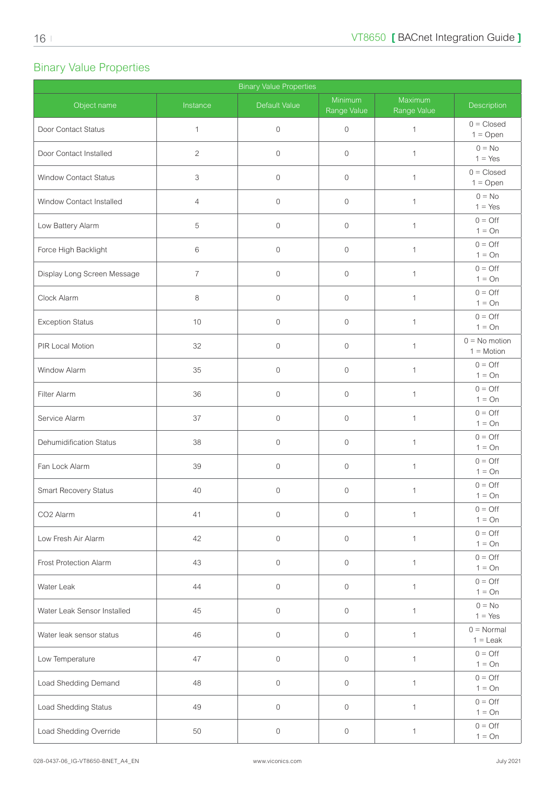### <span id="page-15-0"></span>Binary Value Properties

| <b>Binary Value Properties</b> |                |               |                        |                        |                                   |  |  |
|--------------------------------|----------------|---------------|------------------------|------------------------|-----------------------------------|--|--|
| Object name                    | Instance       | Default Value | Minimum<br>Range Value | Maximum<br>Range Value | Description                       |  |  |
| Door Contact Status            | $\mathbf{1}$   | $\mathbf 0$   | $\overline{0}$         | 1                      | $0 = Closed$<br>$1 = Open$        |  |  |
| Door Contact Installed         | $\mathbf{2}$   | $\mathbf{0}$  | $\mathbf{0}$           | $\mathbf{1}$           | $0 = No$<br>$1 = Yes$             |  |  |
| Window Contact Status          | 3              | $\mathbf{0}$  | $\mathbf 0$            | $\mathbf{1}$           | $0 = Closed$<br>$1 = Open$        |  |  |
| Window Contact Installed       | $\overline{4}$ | $\mathbf 0$   | $\overline{0}$         | $\mathbf{1}$           | $0 = No$<br>$1 = Yes$             |  |  |
| Low Battery Alarm              | 5              | $\mathbf 0$   | $\mathbf 0$            | $\mathbf{1}$           | $0 = \bigcirc$<br>$1 = On$        |  |  |
| Force High Backlight           | 6              | $\mathbf 0$   | $\mathbf 0$            | $\mathbf{1}$           | $0 = \bigcirc$<br>$1 = On$        |  |  |
| Display Long Screen Message    | $\overline{7}$ | $\mathbf{0}$  | $\mathbf{0}$           | $\mathbf{1}$           | $0 = \bigcirc$<br>$1 = On$        |  |  |
| Clock Alarm                    | 8              | $\mathbf{0}$  | $\mathbf{0}$           | $\mathbf{1}$           | $0 = \text{Off}$<br>$1 = On$      |  |  |
| <b>Exception Status</b>        | 10             | $\mathbf{0}$  | $\overline{0}$         | $\mathbf{1}$           | $0 = \bigcirc$<br>$1 = On$        |  |  |
| PIR Local Motion               | 32             | $\mathbf{0}$  | $\mathbf 0$            | $\mathbf{1}$           | $0 = No$ motion<br>$1 = Motion$   |  |  |
| Window Alarm                   | 35             | $\mathbf{0}$  | $\mathbf 0$            | $\mathbf 1$            | $0 = \bigcirc$<br>$1 = On$        |  |  |
| Filter Alarm                   | 36             | $\mathbf 0$   | $\mathbf 0$            | $\mathbf{1}$           | $0 = \bigcirc$<br>$1 = On$        |  |  |
| Service Alarm                  | 37             | $\mathbf{0}$  | $\mathbf 0$            | $\mathbf{1}$           | $0 = \text{Off}$<br>$1 = On$      |  |  |
| <b>Dehumidification Status</b> | 38             | $\mathbf{0}$  | $\overline{0}$         | $\mathbf 1$            | $0 = \bigcirc$<br>$1 = On$        |  |  |
| Fan Lock Alarm                 | 39             | $\mathbf 0$   | $\mathbf 0$            | $\mathbf 1$            | $0 = \bigcirc$<br>$1 = On$        |  |  |
| Smart Recovery Status          | 40             | $\mathbf 0$   | $\mathbf 0$            | $\mathbf 1$            | $0 = \bigcirc$<br>$1 = On$        |  |  |
| CO2 Alarm                      | 41             | $\mathbf 0$   | $\mathbf 0$            | $\mathbf{1}$           | $0 = \bigcirc$<br>$1 = On$        |  |  |
| Low Fresh Air Alarm            | 42             | $\mathbf 0$   | $\mathbf 0$            | $\mathbf{1}$           | $0 = \bigcirc$<br>$1 = On$        |  |  |
| Frost Protection Alarm         | 43             | $\mathbf 0$   | $\mathbf 0$            | $\mathbf{1}$           | $0 = \bigcirc$<br>$1 = On$        |  |  |
| Water Leak                     | 44             | $\mathbf 0$   | $\mathbf 0$            | $\mathbf{1}$           | $0 = \bigcirc$<br>$1 = On$        |  |  |
| Water Leak Sensor Installed    | 45             | $\mathbf 0$   | $\overline{0}$         | $\mathbf{1}$           | $0 = No$<br>$1 = Yes$             |  |  |
| Water leak sensor status       | 46             | $\mathbf 0$   | $\mathbf 0$            | $\mathbf{1}$           | $0 = \text{Normal}$<br>$1 =$ Leak |  |  |
| Low Temperature                | 47             | $\mathbf 0$   | $\overline{0}$         | $\mathbf{1}$           | $0 = \bigcirc$<br>$1 = On$        |  |  |
| Load Shedding Demand           | 48             | $\mathbf 0$   | $\circ$                | $\mathbf{1}$           | $0 = \bigcirc$<br>$1 = On$        |  |  |
| Load Shedding Status           | 49             | $\mathbf 0$   | $\mathbf 0$            | $\mathbf{1}$           | $0 = \bigcirc$<br>$1 = On$        |  |  |
| Load Shedding Override         | 50             | $\mathbb O$   | 0                      | $\mathbf{1}$           | $0 = \bigcirc$<br>$1 = On$        |  |  |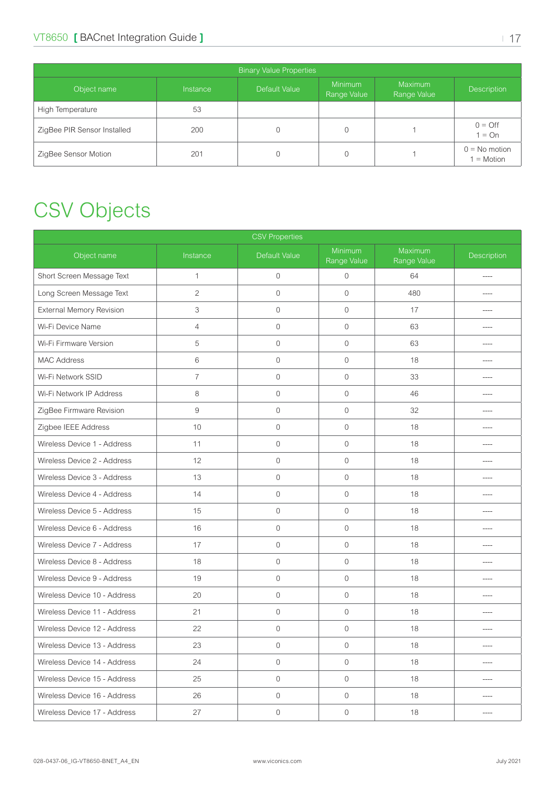<span id="page-16-0"></span>

| <b>Binary Value Properties</b> |                 |               |                               |                               |                                 |  |  |  |
|--------------------------------|-----------------|---------------|-------------------------------|-------------------------------|---------------------------------|--|--|--|
| Object name                    | <b>Instance</b> | Default Value | <b>Minimum</b><br>Range Value | <b>Maximum</b><br>Range Value | <b>Description</b>              |  |  |  |
| High Temperature               | 53              |               |                               |                               |                                 |  |  |  |
| ZigBee PIR Sensor Installed    | 200             |               |                               |                               | $0 = \text{Off}$<br>$1 = On$    |  |  |  |
| ZigBee Sensor Motion           | 201             |               | $\Omega$                      |                               | $0 = No$ motion<br>$1 = Motion$ |  |  |  |

# CSV Objects

| <b>CSV Properties</b>           |                |                  |                        |                        |             |  |
|---------------------------------|----------------|------------------|------------------------|------------------------|-------------|--|
| Object name                     | Instance       | Default Value    | Minimum<br>Range Value | Maximum<br>Range Value | Description |  |
| Short Screen Message Text       | $\mathbf{1}$   | $\mathbf 0$      | $\mathbf 0$            | 64                     | $---$       |  |
| Long Screen Message Text        | $\overline{c}$ | $\mathbf 0$      | $\mathbf 0$            | 480                    | ----        |  |
| <b>External Memory Revision</b> | 3              | $\mathbf 0$      | $\mathbf 0$            | 17                     | ----        |  |
| Wi-Fi Device Name               | $\overline{4}$ | $\mathbf 0$      | $\mathbf 0$            | 63                     | ----        |  |
| Wi-Fi Firmware Version          | 5              | $\mathbf 0$      | $\mathbf 0$            | 63                     | ----        |  |
| <b>MAC Address</b>              | 6              | $\mathbf 0$      | $\mathbf 0$            | 18                     | ----        |  |
| Wi-Fi Network SSID              | $\overline{7}$ | $\mathbf 0$      | $\mathbf 0$            | 33                     | ----        |  |
| Wi-Fi Network IP Address        | 8              | $\mathbf 0$      | $\mathbf 0$            | 46                     |             |  |
| ZigBee Firmware Revision        | 9              | $\mathbf 0$      | $\mathbf 0$            | 32                     |             |  |
| Zigbee IEEE Address             | $10$           | $\mathbf 0$      | $\mathbf 0$            | 18                     |             |  |
| Wireless Device 1 - Address     | 11             | $\mathbf 0$      | $\mathbf 0$            | 18                     | ----        |  |
| Wireless Device 2 - Address     | 12             | $\mathbf 0$      | $\mathbf 0$            | 18                     |             |  |
| Wireless Device 3 - Address     | 13             | $\mathbf 0$      | $\mathbf 0$            | 18                     | ----        |  |
| Wireless Device 4 - Address     | 14             | $\mathbf 0$      | $\mathbf 0$            | 18                     | ----        |  |
| Wireless Device 5 - Address     | 15             | $\mathbf 0$      | $\mathbf 0$            | 18                     | ----        |  |
| Wireless Device 6 - Address     | 16             | $\mathbf 0$      | $\mathbf 0$            | 18                     | ----        |  |
| Wireless Device 7 - Address     | 17             | $\mathbf 0$      | $\mathbf 0$            | 18                     | ----        |  |
| Wireless Device 8 - Address     | 18             | $\mathbf 0$      | $\mathbf 0$            | 18                     | ----        |  |
| Wireless Device 9 - Address     | 19             | $\mathbf 0$      | $\mathbf 0$            | 18                     | ----        |  |
| Wireless Device 10 - Address    | 20             | $\mathbf 0$      | $\mathbf 0$            | 18                     |             |  |
| Wireless Device 11 - Address    | 21             | $\mathbf 0$      | $\mathbf 0$            | 18                     |             |  |
| Wireless Device 12 - Address    | 22             | $\mathbf 0$      | $\mathbf 0$            | 18                     |             |  |
| Wireless Device 13 - Address    | 23             | 0                | 0                      | 18                     |             |  |
| Wireless Device 14 - Address    | 24             | $\mathbf 0$      | $\overline{0}$         | 18                     | ----        |  |
| Wireless Device 15 - Address    | 25             | $\mathbf 0$      | $\mathbf 0$            | 18                     | ----        |  |
| Wireless Device 16 - Address    | 26             | $\mathbf 0$      | $\circ$                | 18                     | ----        |  |
| Wireless Device 17 - Address    | 27             | $\boldsymbol{0}$ | $\boldsymbol{0}$       | 18                     | ----        |  |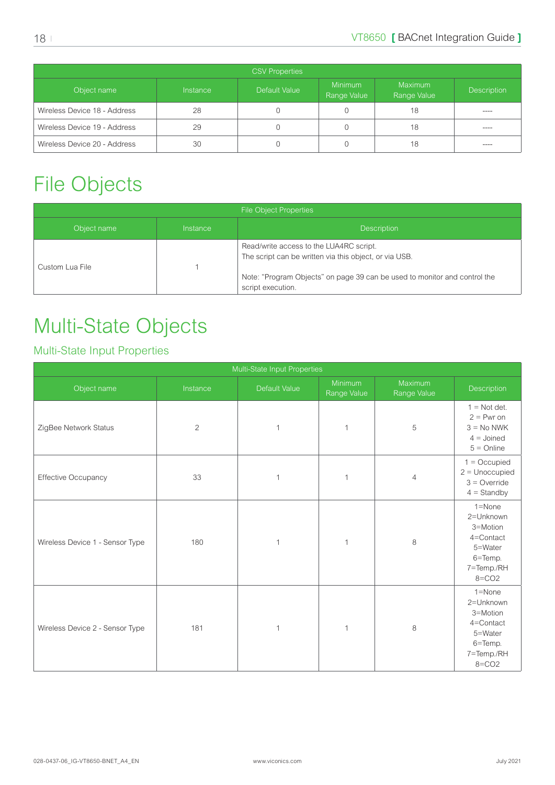<span id="page-17-0"></span>

| <b>CSV Properties</b>        |          |               |                               |                        |                    |  |  |
|------------------------------|----------|---------------|-------------------------------|------------------------|--------------------|--|--|
| Object name                  | Instance | Default Value | <b>Minimum</b><br>Range Value | Maximum<br>Range Value | <b>Description</b> |  |  |
| Wireless Device 18 - Address | 28       |               |                               | 18                     | ____               |  |  |
| Wireless Device 19 - Address | 29       |               |                               | 18                     | ----               |  |  |
| Wireless Device 20 - Address | 30       |               |                               | 18                     |                    |  |  |

# <span id="page-17-1"></span>File Objects

| <b>File Object Properties</b> |          |                                                                                                                                                                                                     |  |  |  |  |
|-------------------------------|----------|-----------------------------------------------------------------------------------------------------------------------------------------------------------------------------------------------------|--|--|--|--|
| Object name                   | Instance | <b>Description</b>                                                                                                                                                                                  |  |  |  |  |
| Custom Lua File               |          | Read/write access to the LUA4RC script.<br>The script can be written via this object, or via USB.<br>Note: "Program Objects" on page 39 can be used to monitor and control the<br>script execution. |  |  |  |  |

# Multi-State Objects

### Multi-State Input Properties

| Multi-State Input Properties    |          |               |                        |                        |                                                                                                   |  |
|---------------------------------|----------|---------------|------------------------|------------------------|---------------------------------------------------------------------------------------------------|--|
| Object name                     | Instance | Default Value | Minimum<br>Range Value | Maximum<br>Range Value | Description                                                                                       |  |
| ZigBee Network Status           | 2        | $\mathbf{1}$  | $\mathbf{1}$           | 5                      | $1 = Not det.$<br>$2 = Pwr on$<br>$3 = No NWK$<br>$4 =$ Joined<br>$5 =$ Online                    |  |
| <b>Effective Occupancy</b>      | 33       | $\mathbf{1}$  | 1                      | $\overline{4}$         | $1 = Occupied$<br>$2 =$ Unoccupied<br>$3 =$ Override<br>$4 =$ Standby                             |  |
| Wireless Device 1 - Sensor Type | 180      | $\mathbf{1}$  | 1                      | 8                      | $1 =$ None<br>2=Unknown<br>3=Motion<br>4=Contact<br>5=Water<br>6=Temp.<br>7=Temp./RH<br>$8 = CO2$ |  |
| Wireless Device 2 - Sensor Type | 181      | 1             | $\mathbf 1$            | 8                      | $1 =$ None<br>2=Unknown<br>3=Motion<br>4=Contact<br>5=Water<br>6=Temp.<br>7=Temp./RH<br>$8 = CO2$ |  |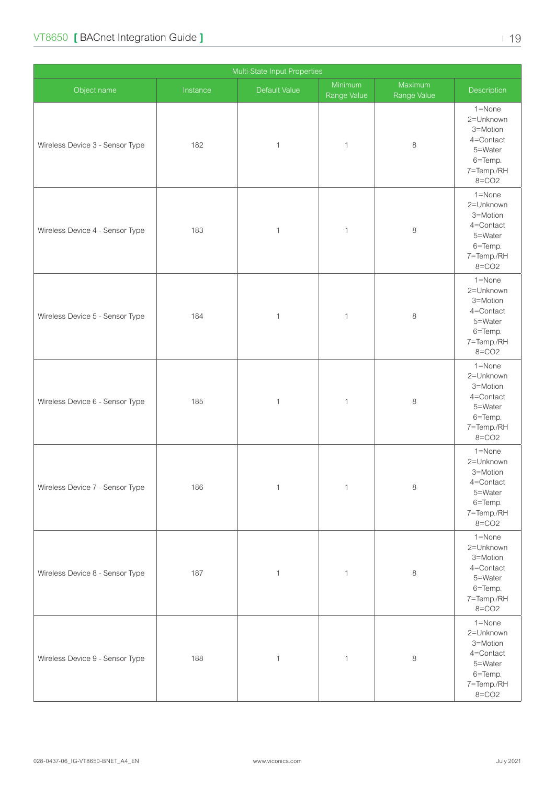| Multi-State Input Properties    |          |               |                        |                        |                                                                                                      |  |
|---------------------------------|----------|---------------|------------------------|------------------------|------------------------------------------------------------------------------------------------------|--|
| Object name                     | Instance | Default Value | Minimum<br>Range Value | Maximum<br>Range Value | Description                                                                                          |  |
| Wireless Device 3 - Sensor Type | 182      | $\mathbf{1}$  | $\mathbf{1}$           | $\,8\,$                | 1=None<br>2=Unknown<br>3=Motion<br>4=Contact<br>5=Water<br>6=Temp.<br>7=Temp./RH<br>$8 = CO2$        |  |
| Wireless Device 4 - Sensor Type | 183      | $\mathbf{1}$  | $\mathbf 1$            | $\,8\,$                | 1=None<br>2=Unknown<br>3=Motion<br>4=Contact<br>5=Water<br>6=Temp.<br>7=Temp./RH<br>$8 = CO2$        |  |
| Wireless Device 5 - Sensor Type | 184      | $\mathbf{1}$  | $\mathbf 1$            | $\,8\,$                | 1=None<br>2=Unknown<br>3=Motion<br>4=Contact<br>5=Water<br>6=Temp.<br>7=Temp./RH<br>$8 = CO2$        |  |
| Wireless Device 6 - Sensor Type | 185      | $\mathbf{1}$  | $\mathbf 1$            | $\,8\,$                | 1=None<br>2=Unknown<br>3=Motion<br>4=Contact<br>5=Water<br>6=Temp.<br>7=Temp./RH<br>$8 = CO2$        |  |
| Wireless Device 7 - Sensor Type | 186      | $\mathbf{1}$  | $\mathbf{1}$           | $\,8\,$                | $1 =$ None<br>2=Unknown<br>3=Motion<br>$4$ =Contact<br>5=Water<br>6=Temp.<br>7=Temp./RH<br>$8 = CO2$ |  |
| Wireless Device 8 - Sensor Type | 187      | $\mathbf{1}$  | $\mathbf{1}$           | $\,8\,$                | $1 =$ None<br>2=Unknown<br>3=Motion<br>4=Contact<br>5=Water<br>6=Temp.<br>7=Temp./RH<br>$8 = CO2$    |  |
| Wireless Device 9 - Sensor Type | 188      | $\mathbf{1}$  | $\mathbf{1}$           | $\,8\,$                | $1 =$ None<br>2=Unknown<br>3=Motion<br>4=Contact<br>5=Water<br>6=Temp.<br>7=Temp./RH<br>$8 = CO2$    |  |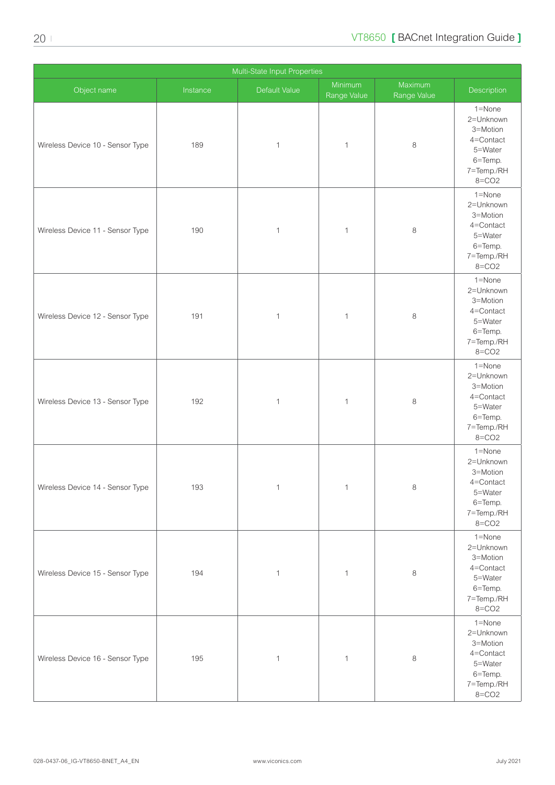| Multi-State Input Properties     |          |               |                        |                        |                                                                                                   |  |
|----------------------------------|----------|---------------|------------------------|------------------------|---------------------------------------------------------------------------------------------------|--|
| Object name                      | Instance | Default Value | Minimum<br>Range Value | Maximum<br>Range Value | Description                                                                                       |  |
| Wireless Device 10 - Sensor Type | 189      | $\mathbf{1}$  | $\mathbf{1}$           | 8                      | $1 =$ None<br>2=Unknown<br>3=Motion<br>4=Contact<br>5=Water<br>6=Temp.<br>7=Temp./RH<br>$8 = CO2$ |  |
| Wireless Device 11 - Sensor Type | 190      | $\mathbf{1}$  | $\mathbf{1}$           | 8                      | 1=None<br>2=Unknown<br>3=Motion<br>4=Contact<br>5=Water<br>6=Temp.<br>7=Temp./RH<br>$8 = CO2$     |  |
| Wireless Device 12 - Sensor Type | 191      | $\mathbf{1}$  | $\mathbf{1}$           | $\,8\,$                | $1 =$ None<br>2=Unknown<br>3=Motion<br>4=Contact<br>5=Water<br>6=Temp.<br>7=Temp./RH<br>$8 = CO2$ |  |
| Wireless Device 13 - Sensor Type | 192      | $\mathbf{1}$  | $\mathbf{1}$           | 8                      | 1=None<br>2=Unknown<br>3=Motion<br>4=Contact<br>5=Water<br>6=Temp.<br>7=Temp./RH<br>$8 = CO2$     |  |
| Wireless Device 14 - Sensor Type | 193      | $\mathbf{1}$  | $\mathbf{1}$           | $\,8\,$                | $1 =$ None<br>2=Unknown<br>3=Motion<br>4=Contact<br>5=Water<br>6=Temp.<br>7=Temp./RH<br>$8 = CO2$ |  |
| Wireless Device 15 - Sensor Type | 194      | $\mathbf{1}$  | $\mathbf{1}$           | $\,8\,$                | 1=None<br>2=Unknown<br>3=Motion<br>4=Contact<br>5=Water<br>6=Temp.<br>7=Temp./RH<br>$8 = CO2$     |  |
| Wireless Device 16 - Sensor Type | 195      | $\mathbf{1}$  | $\mathbf{1}$           | $\,8\,$                | 1=None<br>2=Unknown<br>3=Motion<br>4=Contact<br>5=Water<br>6=Temp.<br>7=Temp./RH<br>$8 = CO2$     |  |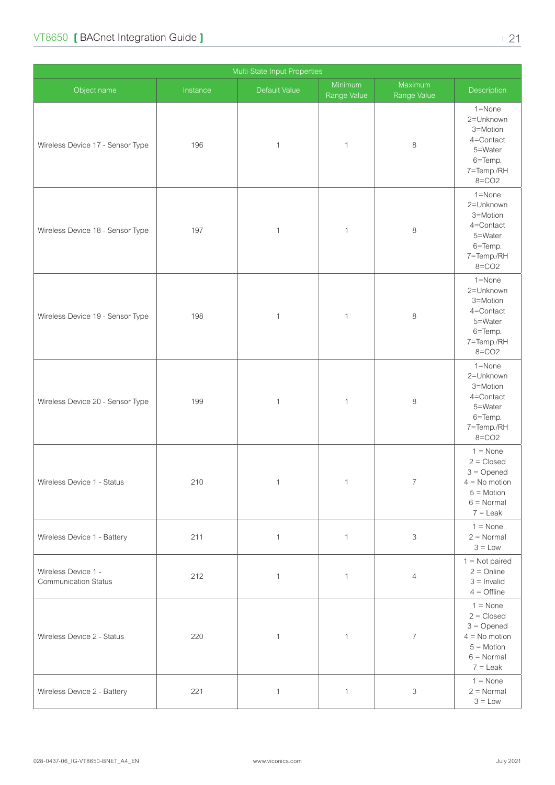| Multi-State Input Properties                       |          |               |                        |                          |                                                                                                                    |  |
|----------------------------------------------------|----------|---------------|------------------------|--------------------------|--------------------------------------------------------------------------------------------------------------------|--|
| Object name                                        | Instance | Default Value | Minimum<br>Range Value | Maximum<br>Range Value   | Description                                                                                                        |  |
| Wireless Device 17 - Sensor Type                   | 196      | $\mathbf{1}$  | $\mathbf{1}$           | $\,8\,$                  | 1=None<br>2=Unknown<br>3=Motion<br>4=Contact<br>5=Water<br>6=Temp.<br>7=Temp./RH<br>$8 = CO2$                      |  |
| Wireless Device 18 - Sensor Type                   | 197      | $\mathbf{1}$  | 1                      | $\,8\,$                  | 1=None<br>2=Unknown<br>3=Motion<br>4=Contact<br>5=Water<br>6=Temp.<br>7=Temp./RH<br>$8 = CO2$                      |  |
| Wireless Device 19 - Sensor Type                   | 198      | $\mathbf{1}$  | 1                      | $\,8\,$                  | 1=None<br>2=Unknown<br>3=Motion<br>4=Contact<br>5=Water<br>6=Temp.<br>7=Temp./RH<br>$8 = CO2$                      |  |
| Wireless Device 20 - Sensor Type                   | 199      | $\mathbf{1}$  | $\mathbf{1}$           | $\,8\,$                  | 1=None<br>2=Unknown<br>3=Motion<br>4=Contact<br>5=Water<br>6=Temp.<br>7=Temp./RH<br>$8 = CO2$                      |  |
| Wireless Device 1 - Status                         | 210      | 1             | 1                      | 7                        | $1 = \text{None}$<br>$2 = Closed$<br>$3 =$ Opened<br>$4 = No$ motion<br>$5 = Motion$<br>$6 =$ Normal<br>$7 =$ Leak |  |
| Wireless Device 1 - Battery                        | 211      | $\mathbf{1}$  | $\mathbf{1}$           | 3                        | $1 = \text{None}$<br>$2 = Normal$<br>$3 = Low$                                                                     |  |
| Wireless Device 1 -<br><b>Communication Status</b> | 212      | $\mathbf{1}$  | $\mathbf{1}$           | $\overline{4}$           | $1 = Not paired$<br>$2 =$ Online<br>$3 =$ Invalid<br>$4 =$ Offline                                                 |  |
| Wireless Device 2 - Status                         | 220      | $\mathbf{1}$  | $\mathbf{1}$           | $\overline{\mathcal{I}}$ | $1 = \text{None}$<br>$2 = Closed$<br>$3 =$ Opened<br>$4 = No$ motion<br>$5 = Motion$<br>$6 =$ Normal<br>$7 =$ Leak |  |
| Wireless Device 2 - Battery                        | 221      | $\mathbf{1}$  | $\mathbf{1}$           | 3                        | $1 = \text{None}$<br>$2 = Normal$<br>$3 = Low$                                                                     |  |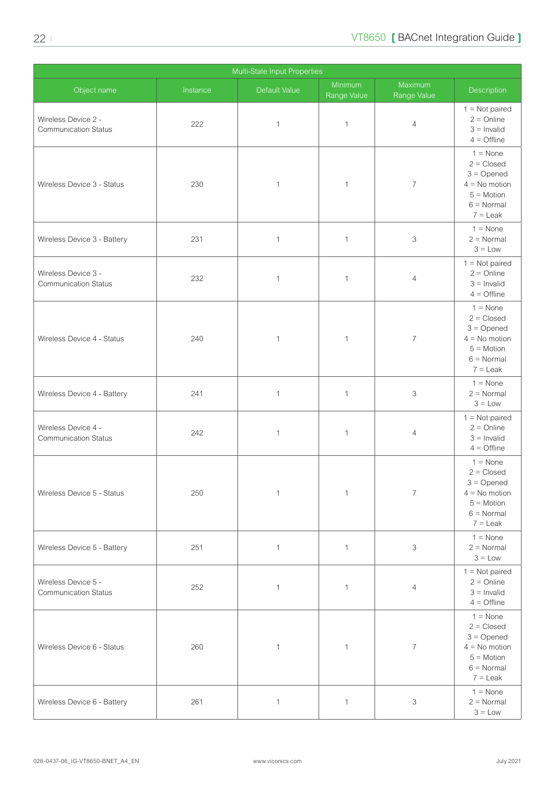|                                                    | Multi-State Input Properties |               |                        |                        |                                                                                                                           |  |  |
|----------------------------------------------------|------------------------------|---------------|------------------------|------------------------|---------------------------------------------------------------------------------------------------------------------------|--|--|
| Object name                                        | Instance                     | Default Value | Minimum<br>Range Value | Maximum<br>Range Value | Description                                                                                                               |  |  |
| Wireless Device 2 -<br><b>Communication Status</b> | 222                          | $\mathbf{1}$  | $\mathbf 1$            | $\overline{4}$         | $1 = Not paired$<br>$2 =$ Online<br>$3 =$ Invalid<br>$4 =$ Offline                                                        |  |  |
| Wireless Device 3 - Status                         | 230                          | $\mathbf 1$   | $\mathbf{1}$           | $\overline{7}$         | $1 = \text{None}$<br>$2 = Closed$<br>$3 =$ Opened<br>$4 = No$ motion<br>$5 = Motion$<br>$6 = \text{Normal}$<br>$7 =$ Leak |  |  |
| Wireless Device 3 - Battery                        | 231                          | 1             | $\mathbf{1}$           | 3                      | $1 = \text{None}$<br>$2 = Normal$<br>$3 = Low$                                                                            |  |  |
| Wireless Device 3 -<br><b>Communication Status</b> | 232                          | 1             | 1                      | $\overline{4}$         | $1 = Not paired$<br>$2 =$ Online<br>$3 =$ Invalid<br>$4 =$ Offline                                                        |  |  |
| Wireless Device 4 - Status                         | 240                          | $\mathbf 1$   | $\mathbf{1}$           | $\overline{7}$         | $1 = \text{None}$<br>$2 = Closed$<br>$3 =$ Opened<br>$4 = No$ motion<br>$5 = Motion$<br>$6 = \text{Normal}$<br>$7 =$ Leak |  |  |
| Wireless Device 4 - Battery                        | 241                          | $\mathbf{1}$  | 1                      | 3                      | $1 = \text{None}$<br>$2 = Normal$<br>$3 = Low$                                                                            |  |  |
| Wireless Device 4 -<br><b>Communication Status</b> | 242                          | 1             | $\mathbf{1}$           | 4                      | $1 = Not paired$<br>$2 =$ Online<br>$3 =$ Invalid<br>$4 =$ Offline                                                        |  |  |
| Wireless Device 5 - Status                         | 250                          | $\mathbf{1}$  | $\mathbf 1$            | $\overline{7}$         | $1 = \text{None}$<br>$2 = Closed$<br>$3 =$ Opened<br>$4 = No$ motion<br>$5 = Motion$<br>$6 =$ Normal<br>$7 =$ Leak        |  |  |
| Wireless Device 5 - Battery                        | 251                          | $\mathbf{1}$  | 1                      | 3                      | $1 = \text{None}$<br>$2 = Normal$<br>$3 = Low$                                                                            |  |  |
| Wireless Device 5 -<br><b>Communication Status</b> | 252                          | $\mathbf{1}$  | $\mathbf 1$            | 4                      | $1 = Not paired$<br>$2 =$ Online<br>$3 =$ Invalid<br>$4 =$ Offline                                                        |  |  |
| Wireless Device 6 - Status                         | 260                          | $\mathbf{1}$  | 1                      | $\overline{7}$         | $1 = \text{None}$<br>$2 = Closed$<br>$3 =$ Opened<br>$4 = No$ motion<br>$5 = Motion$<br>$6 = Normal$<br>$7 =$ Leak        |  |  |
| Wireless Device 6 - Battery                        | 261                          | $\mathbf{1}$  | 1                      | 3                      | $1 = \text{None}$<br>$2 = Normal$<br>$3 = Low$                                                                            |  |  |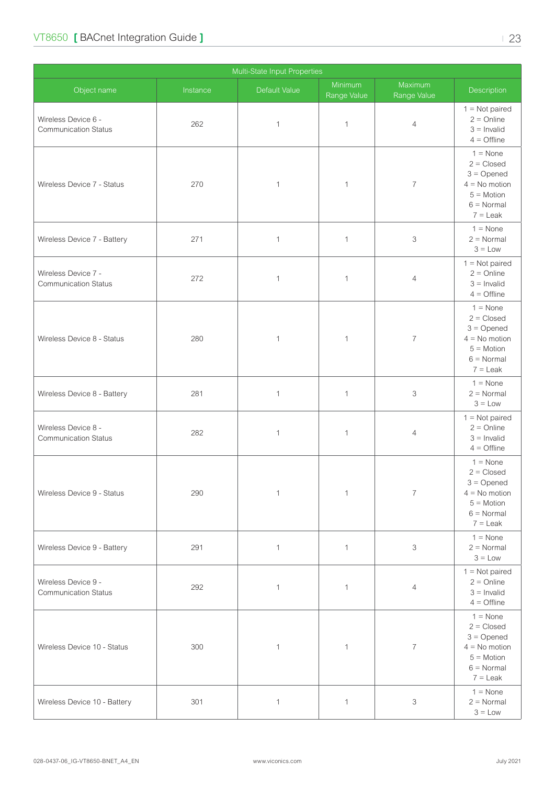| Multi-State Input Properties                       |          |               |                        |                           |                                                                                                                           |  |
|----------------------------------------------------|----------|---------------|------------------------|---------------------------|---------------------------------------------------------------------------------------------------------------------------|--|
| Object name                                        | Instance | Default Value | Minimum<br>Range Value | Maximum<br>Range Value    | Description                                                                                                               |  |
| Wireless Device 6 -<br><b>Communication Status</b> | 262      | $\mathbf{1}$  | 1                      | $\overline{4}$            | $1 = Not paired$<br>$2 =$ Online<br>$3 =$ Invalid<br>$4 =$ Offline                                                        |  |
| Wireless Device 7 - Status                         | 270      | $\mathbf{1}$  | 1                      | $\overline{7}$            | $1 = \text{None}$<br>$2 = Closed$<br>$3 =$ Opened<br>$4 = No$ motion<br>$5 = Motion$<br>$6 = \text{Normal}$<br>$7 =$ Leak |  |
| Wireless Device 7 - Battery                        | 271      | $\mathbf{1}$  | $\mathbf{1}$           | 3                         | $1 = \text{None}$<br>$2 = Normal$<br>$3 = Low$                                                                            |  |
| Wireless Device 7 -<br><b>Communication Status</b> | 272      | 1             | 1                      | $\overline{4}$            | $1 = Not paired$<br>$2 =$ Online<br>$3 =$ Invalid<br>$4 =$ Offline                                                        |  |
| Wireless Device 8 - Status                         | 280      | $\mathbf{1}$  | $\mathbf{1}$           | $\overline{7}$            | $1 = \text{None}$<br>$2 = Closed$<br>$3 =$ Opened<br>$4 = No$ motion<br>$5 = Motion$<br>$6 = \text{Normal}$<br>$7 =$ Leak |  |
| Wireless Device 8 - Battery                        | 281      | $\mathbf{1}$  | $\mathbf{1}$           | 3                         | $1 = \text{None}$<br>$2 = Normal$<br>$3 = Low$                                                                            |  |
| Wireless Device 8 -<br><b>Communication Status</b> | 282      | $\mathbf 1$   | $\mathbf 1$            | 4                         | $1 = Not paired$<br>$2 =$ Online<br>$3 =$ Invalid<br>$4 =$ Offline                                                        |  |
| Wireless Device 9 - Status                         | 290      | $\mathbf{1}$  | 1                      | $\overline{7}$            | $1 = \text{None}$<br>$2 = Closed$<br>$3 =$ Opened<br>$4 = No$ motion<br>$5 = Motion$<br>$6 = \text{Normal}$<br>$7 =$ Leak |  |
| Wireless Device 9 - Battery                        | 291      | $\mathbf{1}$  | $\mathbf{1}$           | 3                         | $1 = \text{None}$<br>$2 = Normal$<br>$3 = Low$                                                                            |  |
| Wireless Device 9 -<br><b>Communication Status</b> | 292      | $\mathbf{1}$  | $\mathbf{1}$           | $\overline{4}$            | $1 = Not paired$<br>$2 =$ Online<br>$3 =$ Invalid<br>$4 =$ Offline                                                        |  |
| Wireless Device 10 - Status                        | 300      | $\mathbf{1}$  | $\mathbf{1}$           | $\overline{7}$            | $1 = \text{None}$<br>$2 = Closed$<br>$3 =$ Opened<br>$4 = No$ motion<br>$5 = Motion$<br>$6 =$ Normal<br>$7 =$ Leak        |  |
| Wireless Device 10 - Battery                       | 301      | $\mathbf{1}$  | $\mathbf{1}$           | $\ensuremath{\mathsf{3}}$ | $1 = \text{None}$<br>$2 = Normal$<br>$3 = Low$                                                                            |  |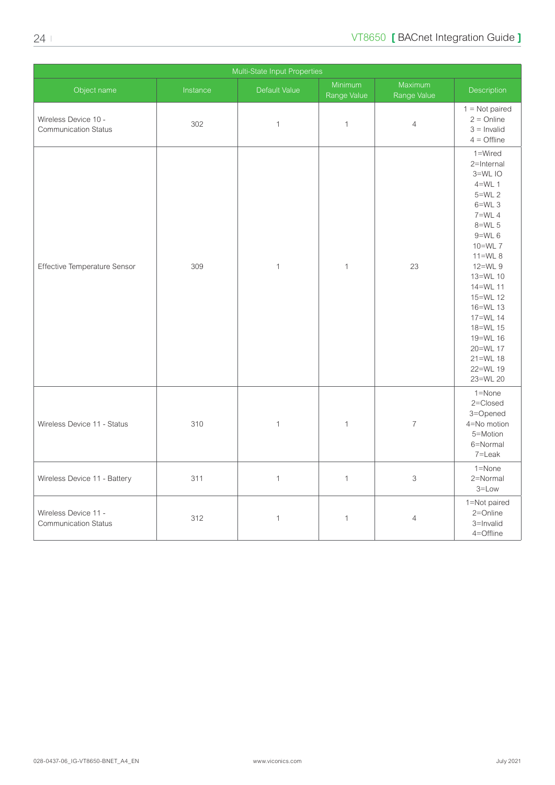| Multi-State Input Properties                        |          |               |                        |                           |                                                                                                                                                                                                                                                                                    |
|-----------------------------------------------------|----------|---------------|------------------------|---------------------------|------------------------------------------------------------------------------------------------------------------------------------------------------------------------------------------------------------------------------------------------------------------------------------|
| Object name                                         | Instance | Default Value | Minimum<br>Range Value | Maximum<br>Range Value    | Description                                                                                                                                                                                                                                                                        |
| Wireless Device 10 -<br><b>Communication Status</b> | 302      | $\mathbf 1$   | $\mathbf 1$            | $\sqrt{4}$                | $1 = Not paired$<br>$2 =$ Online<br>$3 =$ Invalid<br>$4 =$ Offline                                                                                                                                                                                                                 |
| Effective Temperature Sensor                        | 309      | $\mathbf{1}$  | $\mathbf{1}$           | 23                        | 1=Wired<br>2=Internal<br>3=WL IO<br>$4=WL$ 1<br>$5=WL$ 2<br>$6=WL$ 3<br>$7=WL$ 4<br>$8=WL$ 5<br>$9=WL$ 6<br>10=WL 7<br>$11=WL8$<br>12=WL 9<br>13=WL 10<br>14=WL 11<br>15=WL 12<br>16=WL 13<br>17=WL 14<br>18=WL 15<br>19=WL 16<br>20=WL 17<br>$21 = WL 18$<br>22=WL 19<br>23=WL 20 |
| Wireless Device 11 - Status                         | 310      | $\mathbf 1$   | $\mathbf 1$            | $\overline{\mathcal{I}}$  | $1 =$ None<br>2=Closed<br>3=Opened<br>4=No motion<br>5=Motion<br>6=Normal<br>7=Leak                                                                                                                                                                                                |
| Wireless Device 11 - Battery                        | 311      | $\mathbf{1}$  | $\mathbf{1}$           | $\ensuremath{\mathsf{3}}$ | $1 =$ None<br>2=Normal<br>$3 = Low$                                                                                                                                                                                                                                                |
| Wireless Device 11 -<br><b>Communication Status</b> | 312      | $\mathbf 1$   | $\mathbf{1}$           | $\overline{4}$            | 1=Not paired<br>2=Online<br>3=Invalid<br>4=Offline                                                                                                                                                                                                                                 |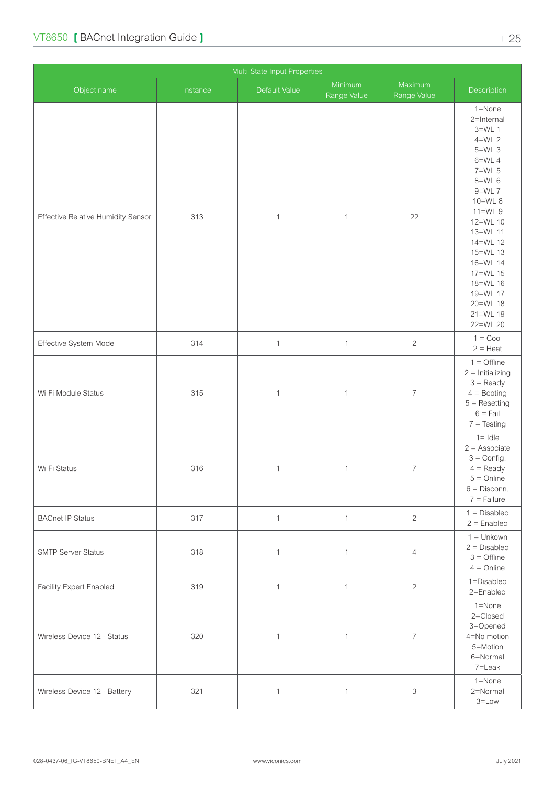|                                           | Multi-State Input Properties |               |                        |                        |                                                                                                                                                                                                                                                                 |  |  |
|-------------------------------------------|------------------------------|---------------|------------------------|------------------------|-----------------------------------------------------------------------------------------------------------------------------------------------------------------------------------------------------------------------------------------------------------------|--|--|
| Object name                               | Instance                     | Default Value | Minimum<br>Range Value | Maximum<br>Range Value | Description                                                                                                                                                                                                                                                     |  |  |
| <b>Effective Relative Humidity Sensor</b> | 313                          | $\mathbf{1}$  | $\mathbf{1}$           | 22                     | 1=None<br>2=Internal<br>$3=WL$ 1<br>$4=WL$ 2<br>$5=WL$ 3<br>$6=WL$ 4<br>7=WL 5<br>8=WL 6<br>$9=WL$ 7<br>10=WL 8<br>$11=WL9$<br>12=WL 10<br>13=WL 11<br>14=WL 12<br>15=WL 13<br>16=WL 14<br>17=WL 15<br>18=WL 16<br>19=WL 17<br>20=WL 18<br>21=WL 19<br>22=WL 20 |  |  |
| Effective System Mode                     | 314                          | $\mathbf{1}$  | $\mathbf{1}$           | $\sqrt{2}$             | $1 = \text{Cool}$<br>$2 =$ Heat                                                                                                                                                                                                                                 |  |  |
| Wi-Fi Module Status                       | 315                          | $\mathbf{1}$  | 1                      | $\overline{7}$         | $1 =$ Offline<br>$2 =$ Initializing<br>$3 =$ Ready<br>$4 =$ Booting<br>$5 =$ Resetting<br>$6 =$ Fail<br>$7 = Testing$                                                                                                                                           |  |  |
| Wi-Fi Status                              | 316                          | $\mathbf{1}$  | $\mathbf{1}$           | $\overline{7}$         | $1 =$ Idle<br>$2 =$ Associate<br>$3 =$ Config.<br>$4 =$ Ready<br>$5 =$ Online<br>$6 =$ Disconn.<br>$7 =$ Failure                                                                                                                                                |  |  |
| <b>BACnet IP Status</b>                   | 317                          | $\mathbf{1}$  | $\mathbf{1}$           | $\overline{c}$         | $1 = Disabled$<br>$2 =$ Enabled                                                                                                                                                                                                                                 |  |  |
| <b>SMTP Server Status</b>                 | 318                          | $\mathbf{1}$  | $\mathbf{1}$           | $\overline{4}$         | $1 =$ Unkown<br>$2 = Disabled$<br>$3 =$ Offline<br>$4 =$ Online                                                                                                                                                                                                 |  |  |
| Facility Expert Enabled                   | 319                          | $\mathbf{1}$  | $\mathbf{1}$           | $\overline{c}$         | 1=Disabled<br>2=Enabled                                                                                                                                                                                                                                         |  |  |
| Wireless Device 12 - Status               | 320                          | $\mathbf{1}$  | $\mathbf{1}$           | $\overline{7}$         | 1=None<br>2=Closed<br>3=Opened<br>4=No motion<br>5=Motion<br>6=Normal<br>7=Leak                                                                                                                                                                                 |  |  |
| Wireless Device 12 - Battery              | 321                          | $\mathbf{1}$  | 1                      | 3                      | 1=None<br>2=Normal<br>$3 = Low$                                                                                                                                                                                                                                 |  |  |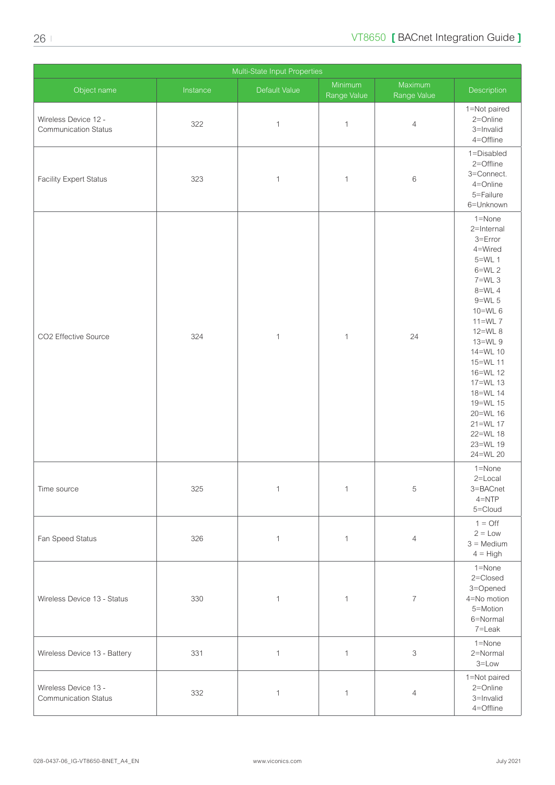| Multi-State Input Properties                        |          |               |                        |                           |                                                                                                                                                                                                                                                                                              |  |
|-----------------------------------------------------|----------|---------------|------------------------|---------------------------|----------------------------------------------------------------------------------------------------------------------------------------------------------------------------------------------------------------------------------------------------------------------------------------------|--|
| Object name                                         | Instance | Default Value | Minimum<br>Range Value | Maximum<br>Range Value    | Description                                                                                                                                                                                                                                                                                  |  |
| Wireless Device 12 -<br><b>Communication Status</b> | 322      | $\mathbf{1}$  | $\mathbf{1}$           | $\overline{4}$            | 1=Not paired<br>2=Online<br>3=Invalid<br>4=Offline                                                                                                                                                                                                                                           |  |
| <b>Facility Expert Status</b>                       | 323      | $\mathbf{1}$  | $\mathbf{1}$           | $\,6$                     | 1=Disabled<br>2=Offline<br>3=Connect.<br>4=Online<br>5=Failure<br>6=Unknown                                                                                                                                                                                                                  |  |
| CO2 Effective Source                                | 324      | $\mathbf{1}$  | $\mathbf{1}$           | 24                        | $1 =$ None<br>2=Internal<br>3=Error<br>4=Wired<br>$5=WL$ 1<br>$6=WL$ 2<br>$7=WL$ 3<br>8=WL 4<br>$9=WL$ 5<br>10=WL 6<br>$11=WL$ $7$<br>12=WL 8<br>13=WL 9<br>14=WL 10<br>15=WL 11<br>16=WL 12<br>17=WL 13<br>18=WL 14<br>19=WL 15<br>20=WL 16<br>21=WL 17<br>22=WL 18<br>23=WL 19<br>24=WL 20 |  |
| Time source                                         | 325      | $\mathbf{1}$  | $\mathbf{1}$           | $\mathbf 5$               | 1=None<br>$2 =$ Local<br>3=BACnet<br>$4 = NTP$<br>5=Cloud                                                                                                                                                                                                                                    |  |
| Fan Speed Status                                    | 326      | $\mathbf{1}$  | $\mathbf{1}$           | $\overline{4}$            | $1 = \text{Off}$<br>$2 = Low$<br>$3 = \text{Median}$<br>$4 = High$                                                                                                                                                                                                                           |  |
| Wireless Device 13 - Status                         | 330      | $\mathbf{1}$  | $\mathbf{1}$           | $\overline{7}$            | 1=None<br>2=Closed<br>3=Opened<br>4=No motion<br>5=Motion<br>6=Normal<br>7=Leak                                                                                                                                                                                                              |  |
| Wireless Device 13 - Battery                        | 331      | $\mathbf{1}$  | $\mathbf{1}$           | $\ensuremath{\mathsf{3}}$ | $1 =$ None<br>2=Normal<br>$3 = Low$                                                                                                                                                                                                                                                          |  |
| Wireless Device 13 -<br>Communication Status        | 332      | $\mathbf 1$   | $\mathbf{1}$           | $\overline{4}$            | 1=Not paired<br>2=Online<br>3=Invalid<br>4=Offline                                                                                                                                                                                                                                           |  |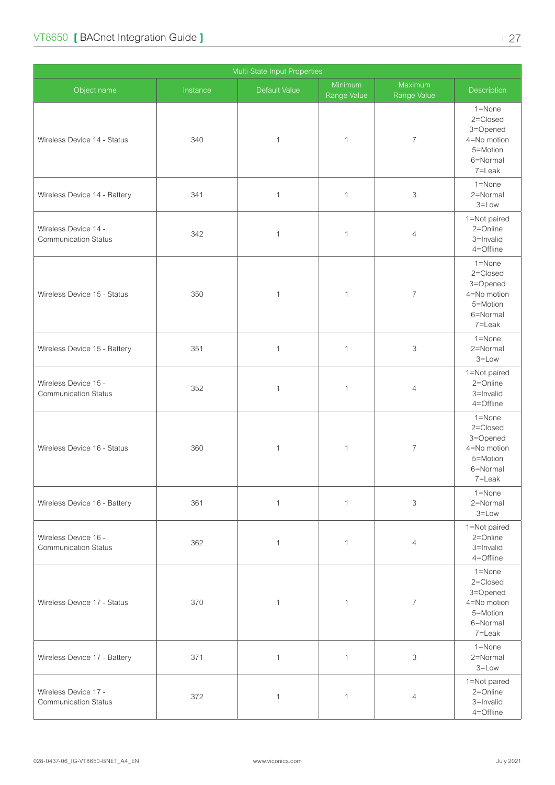| Multi-State Input Properties                        |          |               |                        |                          |                                                                                     |  |  |
|-----------------------------------------------------|----------|---------------|------------------------|--------------------------|-------------------------------------------------------------------------------------|--|--|
| Object name                                         | Instance | Default Value | Minimum<br>Range Value | Maximum<br>Range Value   | Description                                                                         |  |  |
| Wireless Device 14 - Status                         | 340      | $\mathbf{1}$  | $\mathbf 1$            | $\overline{\mathcal{I}}$ | $1 =$ None<br>2=Closed<br>3=Opened<br>4=No motion<br>5=Motion<br>6=Normal<br>7=Leak |  |  |
| Wireless Device 14 - Battery                        | 341      | $\mathbf{1}$  | $\mathbf{1}$           | 3                        | 1=None<br>2=Normal<br>$3 = Low$                                                     |  |  |
| Wireless Device 14 -<br><b>Communication Status</b> | 342      | $\mathbf 1$   | 1                      | $\overline{4}$           | 1=Not paired<br>2=Online<br>3=Invalid<br>4=Offline                                  |  |  |
| Wireless Device 15 - Status                         | 350      | $\mathbf 1$   | $\mathbf{1}$           | $\overline{7}$           | 1=None<br>2=Closed<br>3=Opened<br>4=No motion<br>5=Motion<br>6=Normal<br>7=Leak     |  |  |
| Wireless Device 15 - Battery                        | 351      | $\mathbf 1$   | $\mathbf 1$            | 3                        | 1=None<br>2=Normal<br>$3 = Low$                                                     |  |  |
| Wireless Device 15 -<br><b>Communication Status</b> | 352      | $\mathbf 1$   | 1                      | $\overline{4}$           | 1=Not paired<br>2=Online<br>3=Invalid<br>4=Offline                                  |  |  |
| Wireless Device 16 - Status                         | 360      | $\mathbf 1$   | 1                      | $\overline{7}$           | $1 =$ None<br>2=Closed<br>3=Opened<br>4=No motion<br>5=Motion<br>6=Normal<br>7=Leak |  |  |
| Wireless Device 16 - Battery                        | 361      | $\mathbf{1}$  | $\mathbf{1}$           | 3                        | 1=None<br>2=Normal<br>$3 = Low$                                                     |  |  |
| Wireless Device 16 -<br><b>Communication Status</b> | 362      | $\mathbf{1}$  | 1                      | $\overline{4}$           | 1=Not paired<br>2=Online<br>3=Invalid<br>4=Offline                                  |  |  |
| Wireless Device 17 - Status                         | 370      | $\mathbf{1}$  | $\mathbf{1}$           | $\overline{7}$           | $1 =$ None<br>2=Closed<br>3=Opened<br>4=No motion<br>5=Motion<br>6=Normal<br>7=Leak |  |  |
| Wireless Device 17 - Battery                        | 371      | $\mathbf{1}$  | $\mathbf{1}$           | 3                        | $1 =$ None<br>2=Normal<br>$3 = Low$                                                 |  |  |
| Wireless Device 17 -<br><b>Communication Status</b> | 372      | $\mathbf{1}$  | $\mathbf{1}$           | $\overline{4}$           | 1=Not paired<br>2=Online<br>3=Invalid<br>4=Offline                                  |  |  |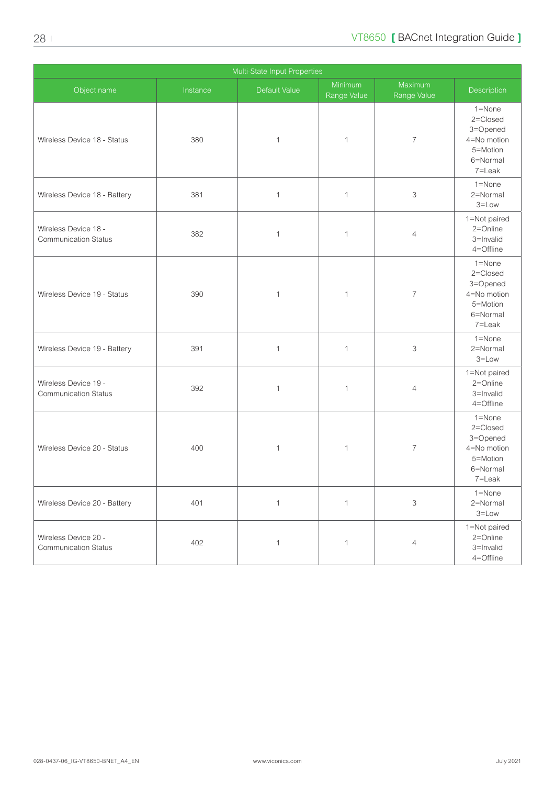| Multi-State Input Properties                        |          |               |                        |                           |                                                                                     |  |  |
|-----------------------------------------------------|----------|---------------|------------------------|---------------------------|-------------------------------------------------------------------------------------|--|--|
| Object name                                         | Instance | Default Value | Minimum<br>Range Value | Maximum<br>Range Value    | Description                                                                         |  |  |
| Wireless Device 18 - Status                         | 380      | $\mathbf{1}$  | $\mathbf{1}$           | $\overline{7}$            | $1 =$ None<br>2=Closed<br>3=Opened<br>4=No motion<br>5=Motion<br>6=Normal<br>7=Leak |  |  |
| Wireless Device 18 - Battery                        | 381      | $\mathbf 1$   | $\mathbf{1}$           | 3                         | 1=None<br>2=Normal<br>$3 = Low$                                                     |  |  |
| Wireless Device 18 -<br><b>Communication Status</b> | 382      | $\mathbf{1}$  | 1                      | $\overline{4}$            | 1=Not paired<br>2=Online<br>3=Invalid<br>4=Offline                                  |  |  |
| Wireless Device 19 - Status                         | 390      | $\mathbf{1}$  | 1                      | $\overline{7}$            | $1 =$ None<br>2=Closed<br>3=Opened<br>4=No motion<br>5=Motion<br>6=Normal<br>7=Leak |  |  |
| Wireless Device 19 - Battery                        | 391      | $\mathbf{1}$  | $\mathbf{1}$           | 3                         | 1=None<br>2=Normal<br>$3 = Low$                                                     |  |  |
| Wireless Device 19 -<br><b>Communication Status</b> | 392      | $\mathbf{1}$  | 1                      | $\overline{4}$            | 1=Not paired<br>$2 =$ Online<br>3=Invalid<br>4=Offline                              |  |  |
| Wireless Device 20 - Status                         | 400      | $\mathbf{1}$  | 1                      | $\overline{7}$            | 1=None<br>2=Closed<br>3=Opened<br>4=No motion<br>5=Motion<br>6=Normal<br>7=Leak     |  |  |
| Wireless Device 20 - Battery                        | 401      | $\mathbf{1}$  | $\mathbf{1}$           | $\ensuremath{\mathsf{3}}$ | 1=None<br>2=Normal<br>$3 = Low$                                                     |  |  |
| Wireless Device 20 -<br><b>Communication Status</b> | 402      | $\mathbf 1$   | $\mathbf{1}$           | $\overline{4}$            | 1=Not paired<br>2=Online<br>3=Invalid<br>4=Offline                                  |  |  |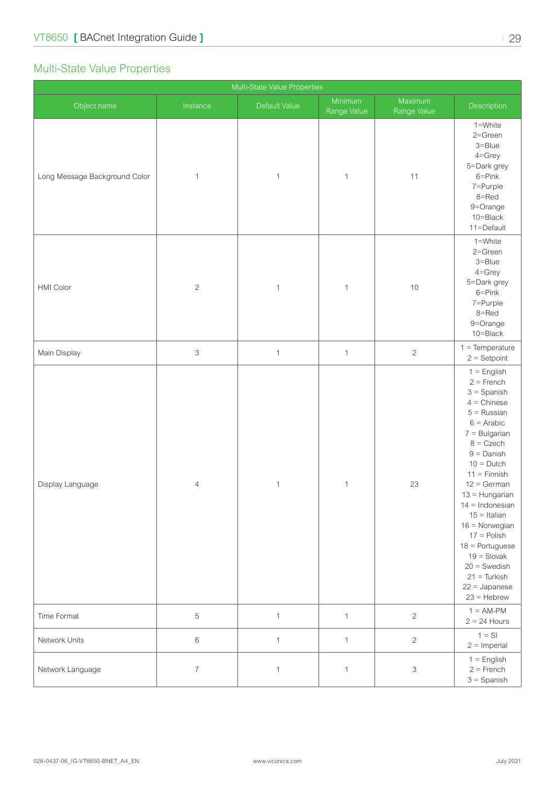#### <span id="page-28-0"></span>Multi-State Value Properties

| Multi-State Value Properties  |                           |               |                        |                           |                                                                                                                                                                                                                                                                                                                                                                                                                      |  |  |
|-------------------------------|---------------------------|---------------|------------------------|---------------------------|----------------------------------------------------------------------------------------------------------------------------------------------------------------------------------------------------------------------------------------------------------------------------------------------------------------------------------------------------------------------------------------------------------------------|--|--|
| Object name                   | Instance                  | Default Value | Minimum<br>Range Value | Maximum<br>Range Value    | Description                                                                                                                                                                                                                                                                                                                                                                                                          |  |  |
| Long Message Background Color | $\mathbf{1}$              | $\mathbf{1}$  | $\mathbf{1}$           | 11                        | 1=White<br>2=Green<br>3=Blue<br>$4 =$ Grey<br>5=Dark grey<br>$6 = Pink$<br>7=Purple<br>8=Red<br>9=Orange<br>10=Black<br>11=Default                                                                                                                                                                                                                                                                                   |  |  |
| HMI Color                     | $\overline{c}$            | $\mathbf{1}$  | $\mathbf{1}$           | 10                        | 1=White<br>2=Green<br>3=Blue<br>$4 =$ Grey<br>5=Dark grey<br>$6 = Pink$<br>7=Purple<br>8=Red<br>9=Orange<br>10=Black                                                                                                                                                                                                                                                                                                 |  |  |
| Main Display                  | $\ensuremath{\mathsf{3}}$ | $\mathbf{1}$  | $\mathbf{1}$           | $\mathbf{2}$              | $1 = Temperature$<br>$2 =$ Setpoint                                                                                                                                                                                                                                                                                                                                                                                  |  |  |
| Display Language              | $\overline{4}$            | $\mathbf{1}$  | $\mathbf{1}$           | 23                        | $1 =$ English<br>$2 =$ French<br>$3 =$ Spanish<br>$4 =$ Chinese<br>$5 =$ Russian<br>$6 =$ Arabic<br>$7 =$ Bulgarian<br>$8 = C$ zech<br>$9 =$ Danish<br>$10 = Dutch$<br>$11 =$ Finnish<br>$12 = German$<br>$13 =$ Hungarian<br>$14 = Indonesian$<br>$15 =$ Italian<br>$16 =$ Norwegian<br>$17 =$ Polish<br>$18 =$ Portuguese<br>$19 =$ Slovak<br>$20 =$ Swedish<br>$21 =$ Turkish<br>$22 =$ Japanese<br>$23 =$ Hebrew |  |  |
| Time Format                   | $\,$ 5 $\,$               | $\mathbf{1}$  | $\mathbf{1}$           | $\overline{2}$            | $1 = AM-PM$<br>$2 = 24$ Hours                                                                                                                                                                                                                                                                                                                                                                                        |  |  |
| Network Units                 | $\,6\,$                   | $\mathbf{1}$  | $\mathbf{1}$           | $\overline{c}$            | $1 = S1$<br>$2 =$ Imperial                                                                                                                                                                                                                                                                                                                                                                                           |  |  |
| Network Language              | $\overline{7}$            | $\mathbf{1}$  | $\mathbf{1}$           | $\ensuremath{\mathsf{3}}$ | $1 =$ English<br>$2 =$ French<br>$3 =$ Spanish                                                                                                                                                                                                                                                                                                                                                                       |  |  |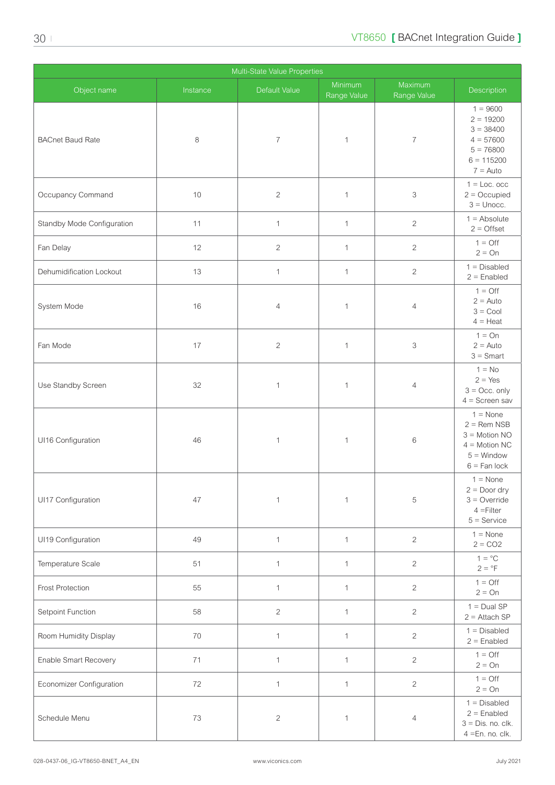| Multi-State Value Properties |          |                |                        |                        |                                                                                                            |  |  |
|------------------------------|----------|----------------|------------------------|------------------------|------------------------------------------------------------------------------------------------------------|--|--|
| Object name                  | Instance | Default Value  | Minimum<br>Range Value | Maximum<br>Range Value | Description                                                                                                |  |  |
| <b>BACnet Baud Rate</b>      | 8        | $\overline{7}$ | $\mathbf{1}$           | $\overline{7}$         | $1 = 9600$<br>$2 = 19200$<br>$3 = 38400$<br>$4 = 57600$<br>$5 = 76800$<br>$6 = 115200$<br>$7 =$ Auto       |  |  |
| Occupancy Command            | 10       | $\sqrt{2}$     | $\mathbf{1}$           | 3                      | $1 =$ Loc. occ<br>$2 = Occupied$<br>$3 =$ Unocc.                                                           |  |  |
| Standby Mode Configuration   | 11       | $\mathbf{1}$   | $\mathbf{1}$           | $\overline{c}$         | $1 =$ Absolute<br>$2 =$ Offset                                                                             |  |  |
| Fan Delay                    | 12       | $\sqrt{2}$     | $\mathbf{1}$           | $\overline{2}$         | $1 = \text{Off}$<br>$2 = On$                                                                               |  |  |
| Dehumidification Lockout     | 13       | $\mathbf{1}$   | $\mathbf{1}$           | $\overline{2}$         | $1 = Disabled$<br>$2 =$ Enabled                                                                            |  |  |
| System Mode                  | 16       | $\overline{4}$ | $\mathbf{1}$           | $\overline{4}$         | $1 = \text{Off}$<br>$2 =$ Auto<br>$3 =$ Cool<br>$4 =$ Heat                                                 |  |  |
| Fan Mode                     | 17       | $\sqrt{2}$     | $\mathbf{1}$           | 3                      | $1 = On$<br>$2 =$ Auto<br>$3 =$ Smart                                                                      |  |  |
| Use Standby Screen           | 32       | $\mathbf{1}$   | $\mathbf{1}$           | 4                      | $1 = No$<br>$2 = Yes$<br>$3 = Occ$ . only<br>$4 =$ Screen sav                                              |  |  |
| UI16 Configuration           | 46       | $\mathbf{1}$   | 1                      | $6\,$                  | $1 = \text{None}$<br>$2 =$ Rem NSB<br>$3 =$ Motion NO<br>$4 =$ Motion NC<br>$5 =$ Window<br>$6 =$ Fan lock |  |  |
| UI17 Configuration           | 47       | $\mathbf 1$    | $\mathbf{1}$           | $\mathbf 5$            | $1 = \text{None}$<br>$2 = Door$ dry<br>$3 =$ Override<br>$4 =$ Filter<br>$5 =$ Service                     |  |  |
| UI19 Configuration           | 49       | $\mathbf{1}$   | $\mathbf{1}$           | $\sqrt{2}$             | $1 = \text{None}$<br>$2 = CO2$                                                                             |  |  |
| Temperature Scale            | 51       | $\mathbf{1}$   | $\mathbf{1}$           | $\sqrt{2}$             | $1 = \circ C$<br>$2 = P$                                                                                   |  |  |
| Frost Protection             | 55       | $\mathbf{1}$   | $\mathbf{1}$           | $\sqrt{2}$             | $1 = \bigcirc$<br>$2 = On$                                                                                 |  |  |
| Setpoint Function            | 58       | $\overline{2}$ | $\mathbf{1}$           | $\sqrt{2}$             | $1 = Dual SP$<br>$2 =$ Attach SP                                                                           |  |  |
| Room Humidity Display        | 70       | $\mathbf{1}$   | $\mathbf{1}$           | $\overline{c}$         | $1 = Disabled$<br>$2 =$ Enabled                                                                            |  |  |
| Enable Smart Recovery        | $71$     | $\mathbf{1}$   | $\mathbf{1}$           | $\sqrt{2}$             | $1 = \text{Off}$<br>$2 = On$                                                                               |  |  |
| Economizer Configuration     | 72       | $\mathbf{1}$   | $\mathbf{1}$           | $\overline{2}$         | $1 = \text{Off}$<br>$2 = On$                                                                               |  |  |
| Schedule Menu                | 73       | $\overline{2}$ | 1                      | $\overline{4}$         | $1 = Disabled$<br>$2 =$ Enabled<br>$3 = Dis. no. clk.$<br>4 = En. no. clk.                                 |  |  |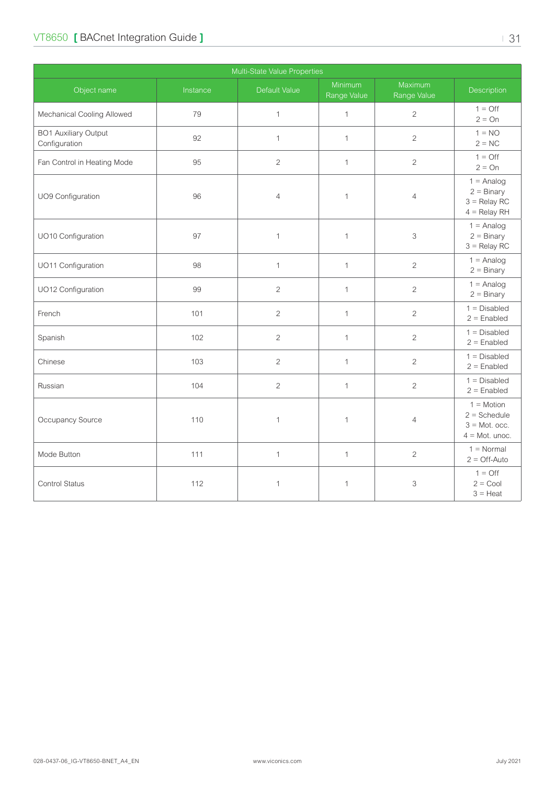#### VT8650 **[** BACnet Integration Guide **]** | 31

| Multi-State Value Properties                 |          |                |                        |                           |                                                                         |  |  |
|----------------------------------------------|----------|----------------|------------------------|---------------------------|-------------------------------------------------------------------------|--|--|
| Object name                                  | Instance | Default Value  | Minimum<br>Range Value | Maximum<br>Range Value    | Description                                                             |  |  |
| Mechanical Cooling Allowed                   | 79       | $\mathbf{1}$   | $\mathbf{1}$           | $\overline{2}$            | $1 = \bigcirc$<br>$2 = On$                                              |  |  |
| <b>BO1 Auxiliary Output</b><br>Configuration | 92       | $\mathbf{1}$   | $\mathbf{1}$           | $\overline{c}$            | $1 = NO$<br>$2 = NC$                                                    |  |  |
| Fan Control in Heating Mode                  | 95       | $\overline{2}$ | $\mathbf{1}$           | $\overline{c}$            | $1 = \bigcirc$<br>$2 = On$                                              |  |  |
| UO9 Configuration                            | 96       | $\overline{4}$ | $\mathbf{1}$           | $\overline{4}$            | $1 =$ Analog<br>$2 = \text{Binary}$<br>$3 =$ Relay RC<br>$4 =$ Relay RH |  |  |
| UO10 Configuration                           | 97       | $\mathbf{1}$   | $\mathbf{1}$           | $\ensuremath{\mathsf{3}}$ | $1 =$ Analog<br>$2 = \text{Binary}$<br>$3 =$ Relay RC                   |  |  |
| UO11 Configuration                           | 98       | $\mathbf{1}$   | $\mathbf{1}$           | $\sqrt{2}$                | $1 =$ Analog<br>$2 = \text{Binary}$                                     |  |  |
| UO12 Configuration                           | 99       | $\overline{2}$ | $\mathbf{1}$           | $\overline{c}$            | $1 =$ Analog<br>$2 = \text{Binary}$                                     |  |  |
| French                                       | 101      | 2              | $\mathbf{1}$           | $\overline{2}$            | $1 = Disabled$<br>$2 =$ Enabled                                         |  |  |
| Spanish                                      | 102      | 2              | $\mathbf{1}$           | $\overline{c}$            | $1 = Disabled$<br>$2 =$ Enabled                                         |  |  |
| Chinese                                      | 103      | 2              | $\mathbf{1}$           | 2                         | $1 = Disabled$<br>$2 =$ Enabled                                         |  |  |
| Russian                                      | 104      | $\overline{2}$ | $\mathbf{1}$           | $\overline{c}$            | $1 = Disabled$<br>$2 =$ Enabled                                         |  |  |
| Occupancy Source                             | 110      | $\mathbf{1}$   | $\mathbf{1}$           | $\overline{4}$            | $1 = Motion$<br>$2 = Schedule$<br>$3 =$ Mot. occ.<br>$4 =$ Mot. unoc.   |  |  |
| Mode Button                                  | 111      | $\mathbf{1}$   | $\mathbf{1}$           | $\overline{c}$            | $1 = Normal$<br>$2 =$ Off-Auto                                          |  |  |
| Control Status                               | 112      | $\mathbf{1}$   | 1                      | $\ensuremath{\mathsf{3}}$ | $1 = \text{Off}$<br>$2 = \text{Cool}$<br>$3 =$ Heat                     |  |  |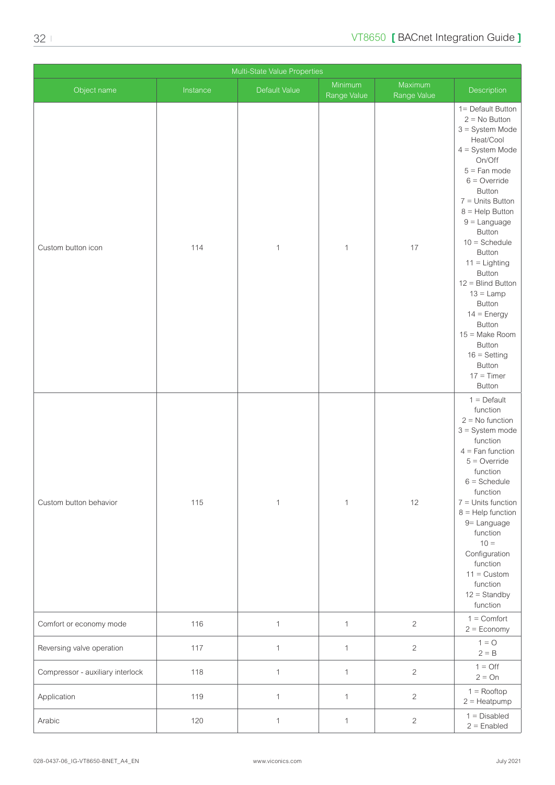| Multi-State Value Properties     |          |               |                        |                        |                                                                                                                                                                                                                                                                                                                                                                                                                                                   |  |  |
|----------------------------------|----------|---------------|------------------------|------------------------|---------------------------------------------------------------------------------------------------------------------------------------------------------------------------------------------------------------------------------------------------------------------------------------------------------------------------------------------------------------------------------------------------------------------------------------------------|--|--|
| Object name                      | Instance | Default Value | Minimum<br>Range Value | Maximum<br>Range Value | Description                                                                                                                                                                                                                                                                                                                                                                                                                                       |  |  |
| Custom button icon               | 114      | $\mathbf{1}$  | 1                      | 17                     | 1= Default Button<br>$2 = No$ Button<br>$3 =$ System Mode<br>Heat/Cool<br>$4 = System Mode$<br>On/Off<br>$5 =$ Fan mode<br>$6 =$ Override<br>Button<br>$7 =$ Units Button<br>$8 =$ Help Button<br>$9 =$ Language<br>Button<br>$10 =$ Schedule<br>Button<br>$11 =$ Lighting<br>Button<br>$12 = Blind Button$<br>$13 =$ Lamp<br>Button<br>$14 =$ Energy<br>Button<br>15 = Make Room<br>Button<br>$16 =$ Setting<br>Button<br>$17 = Timer$<br>Button |  |  |
| Custom button behavior           | 115      | $\mathbf{1}$  | $\mathbf{1}$           | 12                     | $1 = \text{Default}$<br>function<br>$2 = No$ function<br>$3 =$ System mode<br>function<br>$4 =$ Fan function<br>$5 =$ Override<br>function<br>$6 =$ Schedule<br>function<br>$7 =$ Units function<br>$8 =$ Help function<br>9= Language<br>function<br>$10 =$<br>Configuration<br>function<br>$11 =$ Custom<br>function<br>$12 =$ Standby<br>function                                                                                              |  |  |
| Comfort or economy mode          | 116      | $\mathbf{1}$  | $\mathbf{1}$           | $\overline{2}$         | $1 =$ Comfort<br>$2 = E_{\text{conomy}}$                                                                                                                                                                                                                                                                                                                                                                                                          |  |  |
| Reversing valve operation        | 117      | $\mathbf{1}$  | $\mathbf{1}$           | $\sqrt{2}$             | $1 = 0$<br>$2 = B$                                                                                                                                                                                                                                                                                                                                                                                                                                |  |  |
| Compressor - auxiliary interlock | 118      | $\mathbf{1}$  | $\mathbf{1}$           | $\sqrt{2}$             | $1 = \text{Off}$<br>$2 = On$                                                                                                                                                                                                                                                                                                                                                                                                                      |  |  |
| Application                      | 119      | $\mathbf{1}$  | $\mathbf{1}$           | $\overline{c}$         | $1 =$ Rooftop<br>$2 =$ Heatpump                                                                                                                                                                                                                                                                                                                                                                                                                   |  |  |
| Arabic                           | 120      | $\mathbf{1}$  | $\mathbf{1}$           | $\overline{c}$         | $1 = Disabled$<br>$2 =$ Enabled                                                                                                                                                                                                                                                                                                                                                                                                                   |  |  |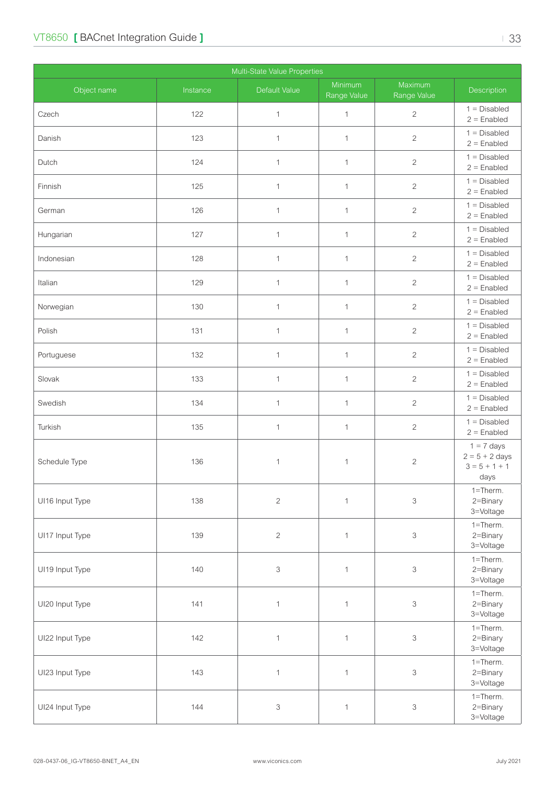| Multi-State Value Properties |          |                           |                        |                           |                                                             |  |  |
|------------------------------|----------|---------------------------|------------------------|---------------------------|-------------------------------------------------------------|--|--|
| Object name                  | Instance | Default Value             | Minimum<br>Range Value | Maximum<br>Range Value    | Description                                                 |  |  |
| Czech                        | 122      | $\mathbf{1}$              | $\mathbf 1$            | $\overline{c}$            | $1 = Disabled$<br>$2 =$ Enabled                             |  |  |
| Danish                       | 123      | $\mathbf{1}$              | $\mathbf{1}$           | $\overline{2}$            | $1 = Disabled$<br>$2 =$ Enabled                             |  |  |
| Dutch                        | 124      | $\mathbf{1}$              | $\mathbf{1}$           | $\mathbf{2}$              | $1 = Disabled$<br>$2 =$ Enabled                             |  |  |
| Finnish                      | 125      | $\mathbf{1}$              | $\mathbf{1}$           | $\overline{c}$            | $1 = Disabled$<br>$2 =$ Enabled                             |  |  |
| German                       | 126      | $\mathbf{1}$              | $\mathbf{1}$           | $\overline{c}$            | $1 = Disabled$<br>$2 =$ Enabled                             |  |  |
| Hungarian                    | 127      | $\mathbf{1}$              | $\mathbf{1}$           | $\overline{c}$            | $1 = Disabled$<br>$2 =$ Enabled                             |  |  |
| Indonesian                   | 128      | $\mathbf{1}$              | $\mathbf{1}$           | $\overline{c}$            | $1 = Disabled$<br>$2 =$ Enabled                             |  |  |
| Italian                      | 129      | $\mathbf{1}$              | $\mathbf{1}$           | $\mathbf{2}$              | $1 = Disabled$<br>$2 =$ Enabled                             |  |  |
| Norwegian                    | 130      | $\mathbf{1}$              | $\mathbf{1}$           | $\sqrt{2}$                | $1 = Disabled$<br>$2 =$ Enabled                             |  |  |
| Polish                       | 131      | $\mathbf{1}$              | $\mathbf{1}$           | $\overline{c}$            | $1 = Disabled$<br>$2 =$ Enabled                             |  |  |
| Portuguese                   | 132      | $\mathbf{1}$              | $\mathbf{1}$           | $\overline{2}$            | $1 = Disabled$<br>$2 =$ Enabled                             |  |  |
| Slovak                       | 133      | $\mathbf{1}$              | $\mathbf{1}$           | $\overline{2}$            | $1 = Disabled$<br>$2 =$ Enabled                             |  |  |
| Swedish                      | 134      | $\mathbf{1}$              | $\mathbf{1}$           | $\overline{2}$            | $1 = Disabled$<br>$2 =$ Enabled                             |  |  |
| Turkish                      | 135      | $\mathbf{1}$              | $\mathbf{1}$           | $\overline{c}$            | $1 = Disabled$<br>$2 =$ Enabled                             |  |  |
| Schedule Type                | 136      | $\mathbf{1}$              | 1                      | $\sqrt{2}$                | $1 = 7$ days<br>$2 = 5 + 2$ days<br>$3 = 5 + 1 + 1$<br>days |  |  |
| UI16 Input Type              | 138      | $\sqrt{2}$                | $\mathbf{1}$           | $\ensuremath{\mathsf{3}}$ | 1=Therm.<br>2=Binary<br>3=Voltage                           |  |  |
| UI17 Input Type              | 139      | $\sqrt{2}$                | $\mathbf{1}$           | $\,$ 3                    | $1 =$ Therm.<br>2=Binary<br>3=Voltage                       |  |  |
| UI19 Input Type              | 140      | $\ensuremath{\mathsf{3}}$ | $\mathbf{1}$           | $\,$ 3                    | $1 =$ Therm.<br>2=Binary<br>3=Voltage                       |  |  |
| UI20 Input Type              | 141      | $\mathbf{1}$              | $\mathbf{1}$           | $\,$ 3                    | $1 =$ Therm.<br>2=Binary<br>3=Voltage                       |  |  |
| UI22 Input Type              | 142      | $\mathbf{1}$              | $\mathbf{1}$           | $\,$ 3                    | $1 =$ Therm.<br>2=Binary<br>3=Voltage                       |  |  |
| UI23 Input Type              | 143      | $\mathbf{1}$              | $\mathbf{1}$           | $\,$ 3                    | $1 =$ Therm.<br>2=Binary<br>3=Voltage                       |  |  |
| UI24 Input Type              | 144      | 3                         | $\mathbf{1}$           | $\ensuremath{\mathsf{3}}$ | $1 =$ Therm.<br>2=Binary<br>3=Voltage                       |  |  |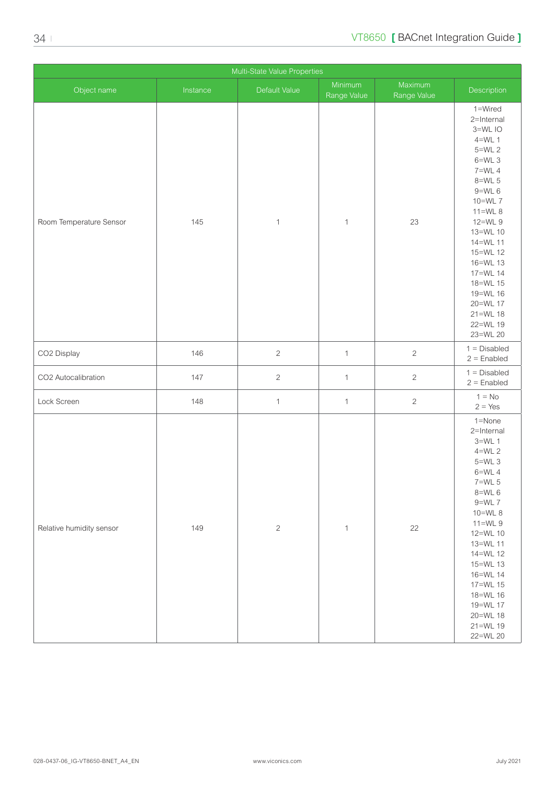| Multi-State Value Properties |          |                |                        |                        |                                                                                                                                                                                                                                                                                 |  |  |
|------------------------------|----------|----------------|------------------------|------------------------|---------------------------------------------------------------------------------------------------------------------------------------------------------------------------------------------------------------------------------------------------------------------------------|--|--|
| Object name                  | Instance | Default Value  | Minimum<br>Range Value | Maximum<br>Range Value | Description                                                                                                                                                                                                                                                                     |  |  |
| Room Temperature Sensor      | 145      | $\mathbf{1}$   | $\mathbf{1}$           | 23                     | 1=Wired<br>2=Internal<br>3=WLIO<br>$4=WL$ 1<br>5=WL 2<br>$6=WL$ 3<br>$7=WL$ 4<br>$8=WL$ 5<br>$9=WL$ 6<br>10=WL 7<br>$11=WL8$<br>12=WL 9<br>13=WL 10<br>14=WL 11<br>15=WL 12<br>16=WL 13<br>17=WL 14<br>18=WL 15<br>19=WL 16<br>20=WL 17<br>$21 = WL 18$<br>22=WL 19<br>23=WL 20 |  |  |
| CO2 Display                  | 146      | $\overline{c}$ | $\mathbf{1}$           | $\overline{c}$         | $1 = Disabled$<br>$2 =$ Enabled                                                                                                                                                                                                                                                 |  |  |
| CO2 Autocalibration          | 147      | $\overline{c}$ | $\mathbf{1}$           | $\overline{2}$         | $1 = Disabled$<br>$2 =$ Enabled                                                                                                                                                                                                                                                 |  |  |
| Lock Screen                  | 148      | $\mathbf{1}$   | $\mathbf{1}$           | $\overline{c}$         | $1 = No$<br>$2 = Yes$                                                                                                                                                                                                                                                           |  |  |
| Relative humidity sensor     | 149      | $\sqrt{2}$     | $\mathbf{1}$           | 22                     | 1=None<br>2=Internal<br>$3=WL$ 1<br>$4=WL$ 2<br>$5=WL$ 3<br>$6=WL$ 4<br>$7 = WL 5$<br>8=WL 6<br>$9 = WL$ 7<br>10=WL 8<br>$11=WL9$<br>12=WL 10<br>13=WL 11<br>14=WL 12<br>15=WL 13<br>16=WL 14<br>17=WL 15<br>18=WL 16<br>19=WL 17<br>20=WL 18<br>$21 = WL 19$<br>22=WL 20       |  |  |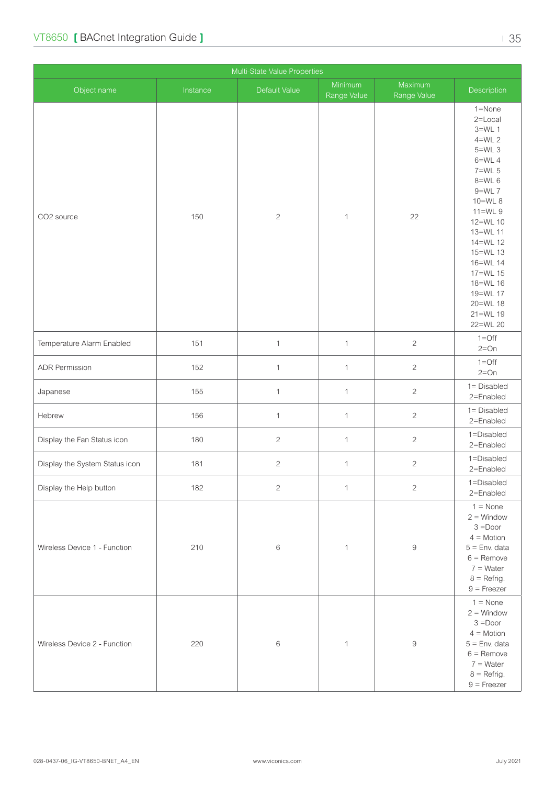| Multi-State Value Properties   |          |               |                        |                        |                                                                                                                                                                                                                                                                   |  |  |
|--------------------------------|----------|---------------|------------------------|------------------------|-------------------------------------------------------------------------------------------------------------------------------------------------------------------------------------------------------------------------------------------------------------------|--|--|
| Object name                    | Instance | Default Value | Minimum<br>Range Value | Maximum<br>Range Value | Description                                                                                                                                                                                                                                                       |  |  |
| CO2 source                     | 150      | $\sqrt{2}$    | $\mathbf{1}$           | 22                     | 1=None<br>2=Local<br>$3=WL$ 1<br>$4=WL$ 2<br>$5=WL$ 3<br>$6=WL$ 4<br>$7=WL$ 5<br>$8=$ WL 6<br>$9=WL$ 7<br>10=WL 8<br>$11=WL9$<br>12=WL 10<br>13=WL 11<br>14=WL 12<br>15=WL 13<br>16=WL 14<br>17=WL 15<br>18=WL 16<br>19=WL 17<br>20=WL 18<br>21=WL 19<br>22=WL 20 |  |  |
| Temperature Alarm Enabled      | 151      | $\mathbf{1}$  | $\mathbf{1}$           | $\overline{c}$         | $1 =$ Off<br>$2=On$                                                                                                                                                                                                                                               |  |  |
| <b>ADR Permission</b>          | 152      | $\mathbf{1}$  | $\mathbf{1}$           | $\mathbf{2}$           | $1 = \text{Off}$<br>$2=On$                                                                                                                                                                                                                                        |  |  |
| Japanese                       | 155      | $\mathbf{1}$  | $\mathbf{1}$           | $\overline{c}$         | 1= Disabled<br>2=Enabled                                                                                                                                                                                                                                          |  |  |
| Hebrew                         | 156      | $\mathbf{1}$  | $\mathbf{1}$           | $\sqrt{2}$             | $1 = Disabled$<br>2=Enabled                                                                                                                                                                                                                                       |  |  |
| Display the Fan Status icon    | 180      | $\sqrt{2}$    | $\mathbf{1}$           | $\mathbf{2}$           | 1=Disabled<br>2=Enabled                                                                                                                                                                                                                                           |  |  |
| Display the System Status icon | 181      | $\sqrt{2}$    | $\mathbf{1}$           | $\overline{c}$         | 1=Disabled<br>2=Enabled                                                                                                                                                                                                                                           |  |  |
| Display the Help button        | 182      | $\mathbf{2}$  | $\mathbf{1}$           | $\sqrt{2}$             | 1=Disabled<br>2=Enabled                                                                                                                                                                                                                                           |  |  |
| Wireless Device 1 - Function   | 210      | $\,6$         | $\mathbf{1}$           | $\hbox{9}$             | $1 = \text{None}$<br>$2 =$ Window<br>$3 = Door$<br>$4 = Motion$<br>$5 =$ Env. data<br>$6 =$ Remove<br>$7 = Water$<br>$8 = Refrig.$<br>$9 =$ Freezer                                                                                                               |  |  |
| Wireless Device 2 - Function   | 220      | $\,6$         | $\mathbf{1}$           | $\hbox{9}$             | $1 = \text{None}$<br>$2 =$ Window<br>$3 = Door$<br>$4 = Motion$<br>$5 =$ Env. data<br>$6 =$ Remove<br>$7 = Water$<br>$8 = Refrig.$<br>$9 =$ Freezer                                                                                                               |  |  |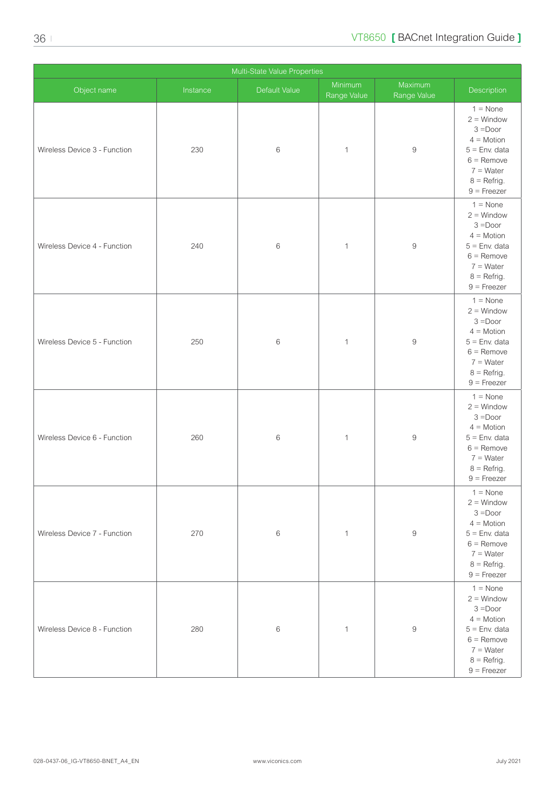| Multi-State Value Properties |          |               |                        |                        |                                                                                                                                                     |  |  |
|------------------------------|----------|---------------|------------------------|------------------------|-----------------------------------------------------------------------------------------------------------------------------------------------------|--|--|
| Object name                  | Instance | Default Value | Minimum<br>Range Value | Maximum<br>Range Value | Description                                                                                                                                         |  |  |
| Wireless Device 3 - Function | 230      | $\,6$         | $\mathbf{1}$           | $\hbox{9}$             | $1 = \text{None}$<br>$2 =$ Window<br>$3 = Door$<br>$4 = Motion$<br>$5 =$ Env. data<br>$6 =$ Remove<br>$7 = Water$<br>$8 =$ Refrig.<br>$9 =$ Freezer |  |  |
| Wireless Device 4 - Function | 240      | $\,6$         | $\mathbf{1}$           | $\hbox{9}$             | $1 = \text{None}$<br>$2 =$ Window<br>$3 = Door$<br>$4 = Motion$<br>$5 =$ Env. data<br>$6 =$ Remove<br>$7 = Water$<br>$8 =$ Refrig.<br>$9$ = Freezer |  |  |
| Wireless Device 5 - Function | 250      | $\,6$         | $\mathbf 1$            | $\hbox{9}$             | $1 = \text{None}$<br>$2 =$ Window<br>$3 = Door$<br>$4 = Motion$<br>$5 =$ Env. data<br>$6 =$ Remove<br>$7 = Water$<br>$8 =$ Refrig.<br>$9$ = Freezer |  |  |
| Wireless Device 6 - Function | 260      | $\,6$         | 1                      | $\hbox{9}$             | $1 = \text{None}$<br>$2 =$ Window<br>$3 = Door$<br>$4 = Motion$<br>$5 =$ Env. data<br>$6 =$ Remove<br>$7 = Water$<br>$8 =$ Refrig.<br>$9 =$ Freezer |  |  |
| Wireless Device 7 - Function | 270      | $\,6\,$       | $\mathbf{1}$           | 9                      | $1 = \text{None}$<br>$2 =$ Window<br>$3 = Door$<br>$4 = Motion$<br>$5 =$ Env. data<br>$6 =$ Remove<br>$7 = Water$<br>$8 =$ Refrig.<br>$9$ = Freezer |  |  |
| Wireless Device 8 - Function | 280      | $\,6\,$       | $\mathbf{1}$           | $\Theta$               | $1 = \text{None}$<br>$2 =$ Window<br>$3 = Door$<br>$4 = Motion$<br>$5 =$ Env. data<br>$6 =$ Remove<br>$7 = Water$<br>$8 =$ Refrig.<br>$9$ = Freezer |  |  |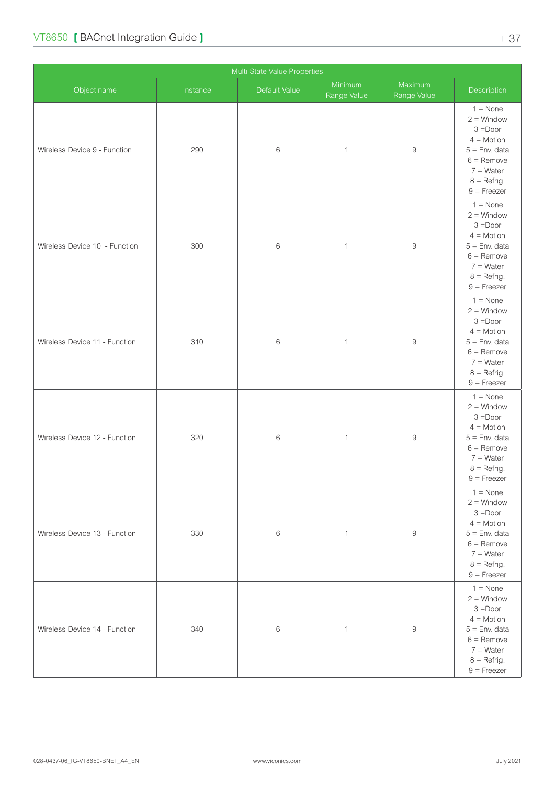| Object name                   | Instance | Default Value | Minimum<br>Range Value | Maximum<br>Range Value | Description                                                                                                                                         |
|-------------------------------|----------|---------------|------------------------|------------------------|-----------------------------------------------------------------------------------------------------------------------------------------------------|
| Wireless Device 9 - Function  | 290      | $\,6$         | $\mathbf{1}$           | $\hbox{9}$             | $1 = \text{None}$<br>$2 =$ Window<br>$3 = Door$<br>$4 = Motion$<br>$5 =$ Env. data<br>$6 =$ Remove<br>$7 = Water$<br>$8 =$ Refrig.<br>$9 =$ Freezer |
| Wireless Device 10 - Function | 300      | $\,6$         | $\mathbf{1}$           | $\boldsymbol{9}$       | $1 = \text{None}$<br>$2 =$ Window<br>$3 = Door$<br>$4 = Motion$<br>$5 =$ Env. data<br>$6 =$ Remove<br>$7 = Water$<br>$8 =$ Refrig.<br>$9$ = Freezer |
| Wireless Device 11 - Function | 310      | $\,$ 6 $\,$   | $\mathbf{1}$           | $\hbox{9}$             | $1 = \text{None}$<br>$2 =$ Window<br>$3 = Door$<br>$4 = Motion$<br>$5 =$ Env. data<br>$6 =$ Remove<br>$7 = Water$<br>$8 =$ Refrig.<br>$9$ = Freezer |
| Wireless Device 12 - Function | 320      | $\,6$         | $\mathbf{1}$           | $\hbox{9}$             | $1 = \text{None}$<br>$2 =$ Window<br>$3 = Door$<br>$4 = Motion$<br>$5 =$ Env. data<br>$6 =$ Remove<br>$7 = Water$<br>$8 =$ Refrig.<br>$9$ = Freezer |
| Wireless Device 13 - Function | 330      | $\,6$         | $\mathbf{1}$           | $\boldsymbol{9}$       | $1 = \text{None}$<br>$2 =$ Window<br>$3 = Door$<br>$4 = Motion$<br>$5 =$ Env. data<br>$6 =$ Remove<br>$7 = Water$<br>$8 = Refrig.$<br>$9$ = Freezer |
| Wireless Device 14 - Function | 340      | 6             | 1                      | $\boldsymbol{9}$       | $1 = \text{None}$<br>$2 =$ Window<br>$3 = Door$<br>$4 = Motion$<br>$5 =$ Env. data<br>$6 =$ Remove<br>$7 = Water$<br>$8 = Refrig.$<br>$9$ = Freezer |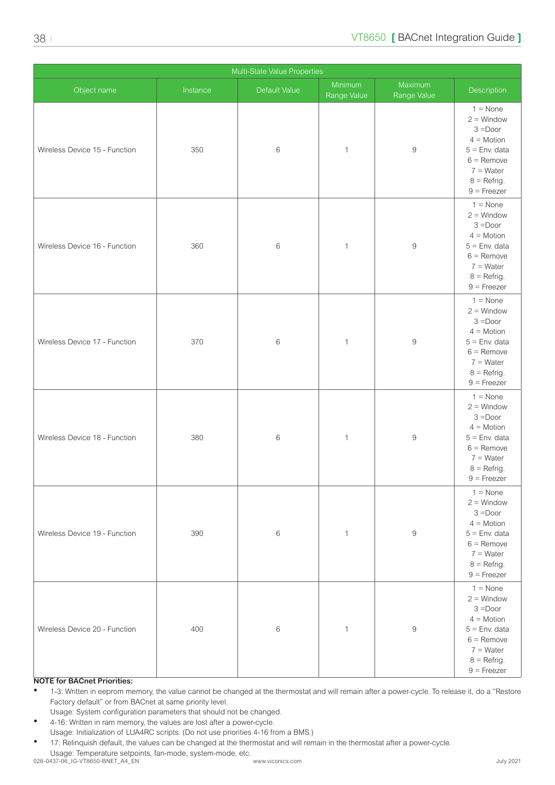| Multi-State Value Properties  |          |               |                        |                        |                                                                                                                                                     |  |  |
|-------------------------------|----------|---------------|------------------------|------------------------|-----------------------------------------------------------------------------------------------------------------------------------------------------|--|--|
| Object name                   | Instance | Default Value | Minimum<br>Range Value | Maximum<br>Range Value | Description                                                                                                                                         |  |  |
| Wireless Device 15 - Function | 350      | $\,6$         | $\mathbf{1}$           | $\boldsymbol{9}$       | $1 = \text{None}$<br>$2 =$ Window<br>$3 = Door$<br>$4 = Motion$<br>$5 =$ Env. data<br>$6 =$ Remove<br>$7 = Water$<br>$8 =$ Refrig.<br>$9$ = Freezer |  |  |
| Wireless Device 16 - Function | 360      | $\,6$         | $\mathbf{1}$           | $\boldsymbol{9}$       | $1 = \text{None}$<br>$2 =$ Window<br>$3 = Door$<br>$4 = Motion$<br>$5 =$ Env. data<br>$6 =$ Remove<br>$7 = Water$<br>$8 =$ Refrig.<br>$9 =$ Freezer |  |  |
| Wireless Device 17 - Function | 370      | $\,6\,$       | $\mathbf{1}$           | $\boldsymbol{9}$       | $1 = \text{None}$<br>$2 =$ Window<br>$3 = Door$<br>$4 = Motion$<br>$5 =$ Env. data<br>$6 =$ Remove<br>$7 = Water$<br>$8 =$ Refrig.<br>$9$ = Freezer |  |  |
| Wireless Device 18 - Function | 380      | $\,6$         | $\mathbf{1}$           | $\hbox{9}$             | $1 = \text{None}$<br>$2 =$ Window<br>$3 = Door$<br>$4 = Motion$<br>$5 =$ Env. data<br>$6 =$ Remove<br>$7 = Water$<br>$8 =$ Refrig.<br>$9 =$ Freezer |  |  |
| Wireless Device 19 - Function | 390      | 6             | 1                      | 9                      | $1 = \text{None}$<br>$2 =$ Window<br>$3 = Door$<br>$4 = Motion$<br>$5 =$ Env. data<br>$6 =$ Remove<br>$7 = Water$<br>$8 =$ Refrig.<br>$9 =$ Freezer |  |  |
| Wireless Device 20 - Function | 400      | $\,6$         | $\mathbf{1}$           | $\hbox{9}$             | $1 = \text{None}$<br>$2 =$ Window<br>$3 = Door$<br>$4 = Motion$<br>$5 =$ Env. data<br>$6 =$ Remove<br>$7 = Water$<br>$8 =$ Refrig.<br>$9 =$ Freezer |  |  |

**NOTE for BACnet Priorities:**

• 1-3: Written in eeprom memory, the value cannot be changed at the thermostat and will remain after a power-cycle. To release it, do a "Restore Factory default" or from BACnet at same priority level.

Usage: System configuration parameters that should not be changed.

• 4-16: Written in ram memory, the values are lost after a power-cycle. Usage: Initialization of LUA4RC scripts. (Do not use priorities 4-16 from a BMS.)

• 17: Relinquish default, the values can be changed at the thermostat and will remain in the thermostat after a power-cycle. Usage: Temperature setpoints, fan-mode, system-mode, etc. 028-0437-06\_IG-VT8650-BNET\_A4\_EN www.viconics.com July 2021